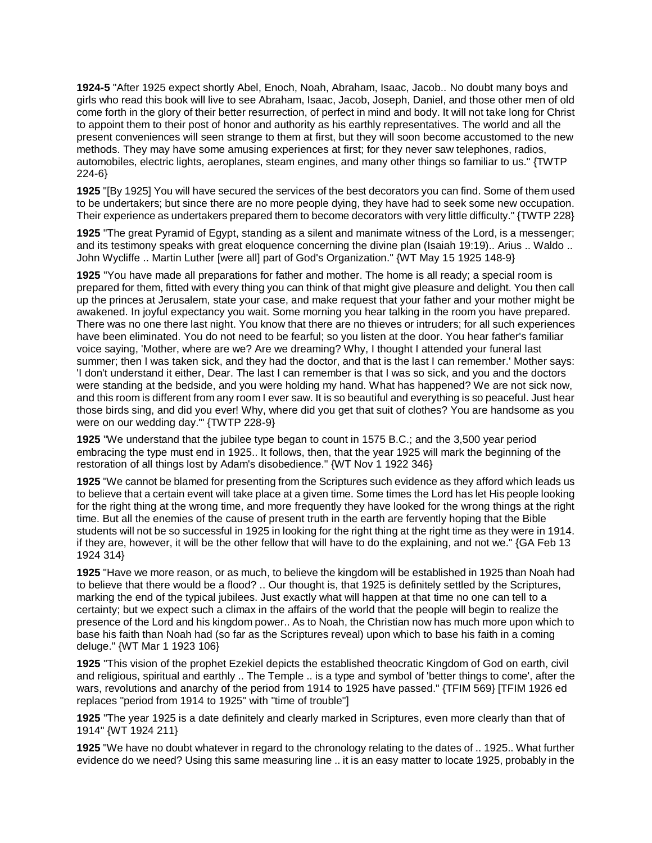**1924-5** "After 1925 expect shortly Abel, Enoch, Noah, Abraham, Isaac, Jacob.. No doubt many boys and girls who read this book will live to see Abraham, Isaac, Jacob, Joseph, Daniel, and those other men of old come forth in the glory of their better resurrection, of perfect in mind and body. It will not take long for Christ to appoint them to their post of honor and authority as his earthly representatives. The world and all the present conveniences will seen strange to them at first, but they will soon become accustomed to the new methods. They may have some amusing experiences at first; for they never saw telephones, radios, automobiles, electric lights, aeroplanes, steam engines, and many other things so familiar to us." {TWTP 224-6}

**1925** "[By 1925] You will have secured the services of the best decorators you can find. Some of them used to be undertakers; but since there are no more people dying, they have had to seek some new occupation. Their experience as undertakers prepared them to become decorators with very little difficulty." {TWTP 228}

**1925** "The great Pyramid of Egypt, standing as a silent and manimate witness of the Lord, is a messenger; and its testimony speaks with great eloquence concerning the divine plan (Isaiah 19:19).. Arius .. Waldo .. John Wycliffe .. Martin Luther [were all] part of God's Organization." {WT May 15 1925 148-9}

**1925** "You have made all preparations for father and mother. The home is all ready; a special room is prepared for them, fitted with every thing you can think of that might give pleasure and delight. You then call up the princes at Jerusalem, state your case, and make request that your father and your mother might be awakened. In joyful expectancy you wait. Some morning you hear talking in the room you have prepared. There was no one there last night. You know that there are no thieves or intruders; for all such experiences have been eliminated. You do not need to be fearful; so you listen at the door. You hear father's familiar voice saying, 'Mother, where are we? Are we dreaming? Why, I thought I attended your funeral last summer; then I was taken sick, and they had the doctor, and that is the last I can remember.' Mother says: 'I don't understand it either, Dear. The last I can remember is that I was so sick, and you and the doctors were standing at the bedside, and you were holding my hand. What has happened? We are not sick now, and this room is different from any room I ever saw. It is so beautiful and everything is so peaceful. Just hear those birds sing, and did you ever! Why, where did you get that suit of clothes? You are handsome as you were on our wedding day.'" {TWTP 228-9}

**1925** "We understand that the jubilee type began to count in 1575 B.C.; and the 3,500 year period embracing the type must end in 1925.. It follows, then, that the year 1925 will mark the beginning of the restoration of all things lost by Adam's disobedience." {WT Nov 1 1922 346}

**1925** "We cannot be blamed for presenting from the Scriptures such evidence as they afford which leads us to believe that a certain event will take place at a given time. Some times the Lord has let His people looking for the right thing at the wrong time, and more frequently they have looked for the wrong things at the right time. But all the enemies of the cause of present truth in the earth are fervently hoping that the Bible students will not be so successful in 1925 in looking for the right thing at the right time as they were in 1914. if they are, however, it will be the other fellow that will have to do the explaining, and not we." {GA Feb 13 1924 314}

**1925** "Have we more reason, or as much, to believe the kingdom will be established in 1925 than Noah had to believe that there would be a flood? .. Our thought is, that 1925 is definitely settled by the Scriptures, marking the end of the typical jubilees. Just exactly what will happen at that time no one can tell to a certainty; but we expect such a climax in the affairs of the world that the people will begin to realize the presence of the Lord and his kingdom power.. As to Noah, the Christian now has much more upon which to base his faith than Noah had (so far as the Scriptures reveal) upon which to base his faith in a coming deluge." {WT Mar 1 1923 106}

**1925** "This vision of the prophet Ezekiel depicts the established theocratic Kingdom of God on earth, civil and religious, spiritual and earthly .. The Temple .. is a type and symbol of 'better things to come', after the wars, revolutions and anarchy of the period from 1914 to 1925 have passed." {TFIM 569} [TFIM 1926 ed replaces "period from 1914 to 1925" with "time of trouble"]

**1925** "The year 1925 is a date definitely and clearly marked in Scriptures, even more clearly than that of 1914" {WT 1924 211}

**1925** "We have no doubt whatever in regard to the chronology relating to the dates of .. 1925.. What further evidence do we need? Using this same measuring line .. it is an easy matter to locate 1925, probably in the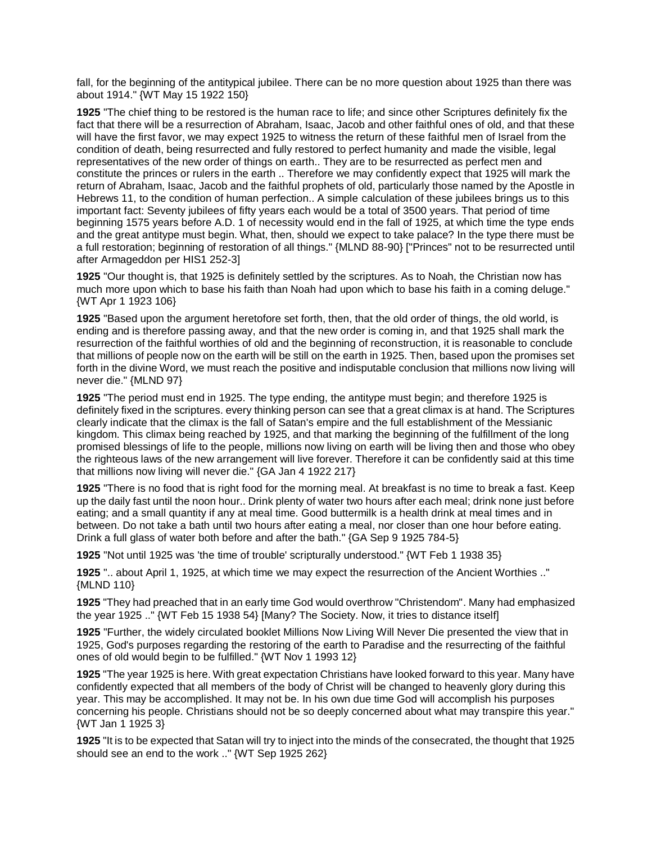fall, for the beginning of the antitypical jubilee. There can be no more question about 1925 than there was about 1914." {WT May 15 1922 150}

**1925** "The chief thing to be restored is the human race to life; and since other Scriptures definitely fix the fact that there will be a resurrection of Abraham, Isaac, Jacob and other faithful ones of old, and that these will have the first favor, we may expect 1925 to witness the return of these faithful men of Israel from the condition of death, being resurrected and fully restored to perfect humanity and made the visible, legal representatives of the new order of things on earth.. They are to be resurrected as perfect men and constitute the princes or rulers in the earth .. Therefore we may confidently expect that 1925 will mark the return of Abraham, Isaac, Jacob and the faithful prophets of old, particularly those named by the Apostle in Hebrews 11, to the condition of human perfection.. A simple calculation of these jubilees brings us to this important fact: Seventy jubilees of fifty years each would be a total of 3500 years. That period of time beginning 1575 years before A.D. 1 of necessity would end in the fall of 1925, at which time the type ends and the great antitype must begin. What, then, should we expect to take palace? In the type there must be a full restoration; beginning of restoration of all things." {MLND 88-90} ["Princes" not to be resurrected until after Armageddon per HIS1 252-3]

**1925** "Our thought is, that 1925 is definitely settled by the scriptures. As to Noah, the Christian now has much more upon which to base his faith than Noah had upon which to base his faith in a coming deluge." {WT Apr 1 1923 106}

**1925** "Based upon the argument heretofore set forth, then, that the old order of things, the old world, is ending and is therefore passing away, and that the new order is coming in, and that 1925 shall mark the resurrection of the faithful worthies of old and the beginning of reconstruction, it is reasonable to conclude that millions of people now on the earth will be still on the earth in 1925. Then, based upon the promises set forth in the divine Word, we must reach the positive and indisputable conclusion that millions now living will never die." {MLND 97}

**1925** "The period must end in 1925. The type ending, the antitype must begin; and therefore 1925 is definitely fixed in the scriptures. every thinking person can see that a great climax is at hand. The Scriptures clearly indicate that the climax is the fall of Satan's empire and the full establishment of the Messianic kingdom. This climax being reached by 1925, and that marking the beginning of the fulfillment of the long promised blessings of life to the people, millions now living on earth will be living then and those who obey the righteous laws of the new arrangement will live forever. Therefore it can be confidently said at this time that millions now living will never die." {GA Jan 4 1922 217}

**1925** "There is no food that is right food for the morning meal. At breakfast is no time to break a fast. Keep up the daily fast until the noon hour.. Drink plenty of water two hours after each meal; drink none just before eating; and a small quantity if any at meal time. Good buttermilk is a health drink at meal times and in between. Do not take a bath until two hours after eating a meal, nor closer than one hour before eating. Drink a full glass of water both before and after the bath." {GA Sep 9 1925 784-5}

**1925** "Not until 1925 was 'the time of trouble' scripturally understood." {WT Feb 1 1938 35}

**1925** ".. about April 1, 1925, at which time we may expect the resurrection of the Ancient Worthies .." {MLND 110}

**1925** "They had preached that in an early time God would overthrow "Christendom". Many had emphasized the year 1925 .." {WT Feb 15 1938 54} [Many? The Society. Now, it tries to distance itself]

**1925** "Further, the widely circulated booklet Millions Now Living Will Never Die presented the view that in 1925, God's purposes regarding the restoring of the earth to Paradise and the resurrecting of the faithful ones of old would begin to be fulfilled." {WT Nov 1 1993 12}

**1925** "The year 1925 is here. With great expectation Christians have looked forward to this year. Many have confidently expected that all members of the body of Christ will be changed to heavenly glory during this year. This may be accomplished. It may not be. In his own due time God will accomplish his purposes concerning his people. Christians should not be so deeply concerned about what may transpire this year." {WT Jan 1 1925 3}

**1925** "It is to be expected that Satan will try to inject into the minds of the consecrated, the thought that 1925 should see an end to the work .." {WT Sep 1925 262}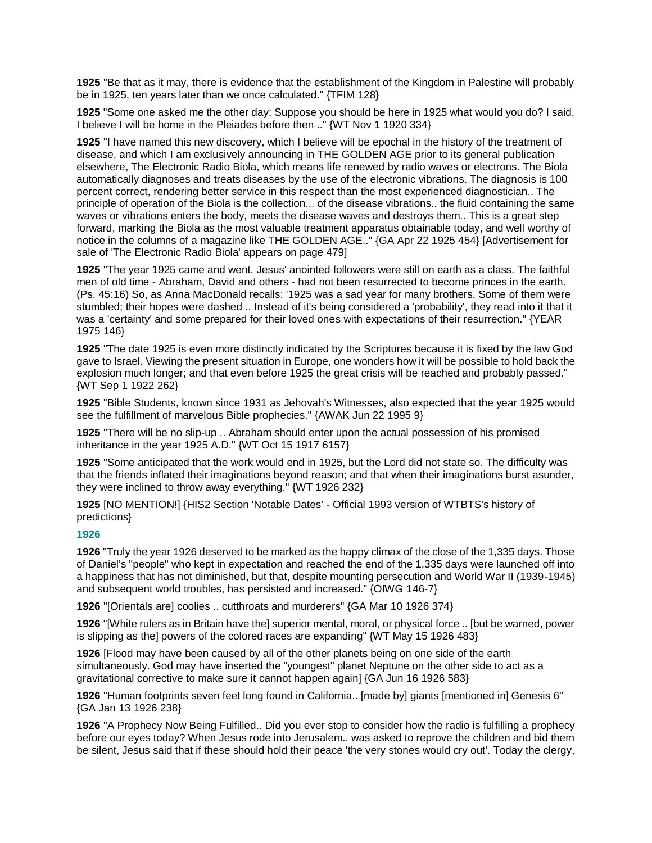**1925** "Be that as it may, there is evidence that the establishment of the Kingdom in Palestine will probably be in 1925, ten years later than we once calculated." {TFIM 128}

**1925** "Some one asked me the other day: Suppose you should be here in 1925 what would you do? I said, I believe I will be home in the Pleiades before then .." {WT Nov 1 1920 334}

**1925** "I have named this new discovery, which I believe will be epochal in the history of the treatment of disease, and which I am exclusively announcing in THE GOLDEN AGE prior to its general publication elsewhere, The Electronic Radio Biola, which means life renewed by radio waves or electrons. The Biola automatically diagnoses and treats diseases by the use of the electronic vibrations. The diagnosis is 100 percent correct, rendering better service in this respect than the most experienced diagnostician.. The principle of operation of the Biola is the collection... of the disease vibrations.. the fluid containing the same waves or vibrations enters the body, meets the disease waves and destroys them.. This is a great step forward, marking the Biola as the most valuable treatment apparatus obtainable today, and well worthy of notice in the columns of a magazine like THE GOLDEN AGE.." {GA Apr 22 1925 454} [Advertisement for sale of 'The Electronic Radio Biola' appears on page 479]

**1925** "The year 1925 came and went. Jesus' anointed followers were still on earth as a class. The faithful men of old time - Abraham, David and others - had not been resurrected to become princes in the earth. (Ps. 45:16) So, as Anna MacDonald recalls: '1925 was a sad year for many brothers. Some of them were stumbled; their hopes were dashed .. Instead of it's being considered a 'probability', they read into it that it was a 'certainty' and some prepared for their loved ones with expectations of their resurrection." {YEAR 1975 146}

**1925** "The date 1925 is even more distinctly indicated by the Scriptures because it is fixed by the law God gave to Israel. Viewing the present situation in Europe, one wonders how it will be possible to hold back the explosion much longer; and that even before 1925 the great crisis will be reached and probably passed." {WT Sep 1 1922 262}

**1925** "Bible Students, known since 1931 as Jehovah's Witnesses, also expected that the year 1925 would see the fulfillment of marvelous Bible prophecies." {AWAK Jun 22 1995 9}

**1925** "There will be no slip-up .. Abraham should enter upon the actual possession of his promised inheritance in the year 1925 A.D." {WT Oct 15 1917 6157}

**1925** "Some anticipated that the work would end in 1925, but the Lord did not state so. The difficulty was that the friends inflated their imaginations beyond reason; and that when their imaginations burst asunder, they were inclined to throw away everything." {WT 1926 232}

**1925** [NO MENTION!] {HIS2 Section 'Notable Dates' - Official 1993 version of WTBTS's history of predictions}

## **1926**

**1926** "Truly the year 1926 deserved to be marked as the happy climax of the close of the 1,335 days. Those of Daniel's "people" who kept in expectation and reached the end of the 1,335 days were launched off into a happiness that has not diminished, but that, despite mounting persecution and World War II (1939-1945) and subsequent world troubles, has persisted and increased." {OIWG 146-7}

**1926** "[Orientals are] coolies .. cutthroats and murderers" {GA Mar 10 1926 374}

**1926** "[White rulers as in Britain have the] superior mental, moral, or physical force .. [but be warned, power is slipping as the] powers of the colored races are expanding" {WT May 15 1926 483}

**1926** [Flood may have been caused by all of the other planets being on one side of the earth simultaneously. God may have inserted the "youngest" planet Neptune on the other side to act as a gravitational corrective to make sure it cannot happen again] {GA Jun 16 1926 583}

**1926** "Human footprints seven feet long found in California.. [made by] giants [mentioned in] Genesis 6" {GA Jan 13 1926 238}

**1926** "A Prophecy Now Being Fulfilled.. Did you ever stop to consider how the radio is fulfilling a prophecy before our eyes today? When Jesus rode into Jerusalem.. was asked to reprove the children and bid them be silent, Jesus said that if these should hold their peace 'the very stones would cry out'. Today the clergy,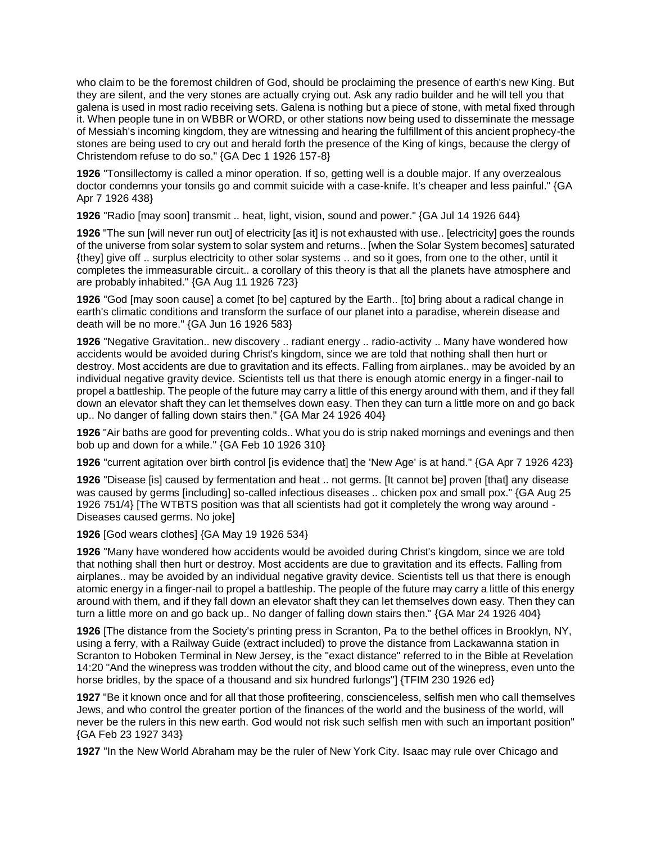who claim to be the foremost children of God, should be proclaiming the presence of earth's new King. But they are silent, and the very stones are actually crying out. Ask any radio builder and he will tell you that galena is used in most radio receiving sets. Galena is nothing but a piece of stone, with metal fixed through it. When people tune in on WBBR or WORD, or other stations now being used to disseminate the message of Messiah's incoming kingdom, they are witnessing and hearing the fulfillment of this ancient prophecy-the stones are being used to cry out and herald forth the presence of the King of kings, because the clergy of Christendom refuse to do so." {GA Dec 1 1926 157-8}

**1926** "Tonsillectomy is called a minor operation. If so, getting well is a double major. If any overzealous doctor condemns your tonsils go and commit suicide with a case-knife. It's cheaper and less painful." {GA Apr 7 1926 438}

**1926** "Radio [may soon] transmit .. heat, light, vision, sound and power." {GA Jul 14 1926 644}

**1926** "The sun [will never run out] of electricity [as it] is not exhausted with use.. [electricity] goes the rounds of the universe from solar system to solar system and returns.. [when the Solar System becomes] saturated {they] give off .. surplus electricity to other solar systems .. and so it goes, from one to the other, until it completes the immeasurable circuit.. a corollary of this theory is that all the planets have atmosphere and are probably inhabited." {GA Aug 11 1926 723}

**1926** "God [may soon cause] a comet [to be] captured by the Earth.. [to] bring about a radical change in earth's climatic conditions and transform the surface of our planet into a paradise, wherein disease and death will be no more." {GA Jun 16 1926 583}

**1926** "Negative Gravitation.. new discovery .. radiant energy .. radio-activity .. Many have wondered how accidents would be avoided during Christ's kingdom, since we are told that nothing shall then hurt or destroy. Most accidents are due to gravitation and its effects. Falling from airplanes.. may be avoided by an individual negative gravity device. Scientists tell us that there is enough atomic energy in a finger-nail to propel a battleship. The people of the future may carry a little of this energy around with them, and if they fall down an elevator shaft they can let themselves down easy. Then they can turn a little more on and go back up.. No danger of falling down stairs then." {GA Mar 24 1926 404}

**1926** "Air baths are good for preventing colds.. What you do is strip naked mornings and evenings and then bob up and down for a while." {GA Feb 10 1926 310}

**1926** "current agitation over birth control [is evidence that] the 'New Age' is at hand." {GA Apr 7 1926 423}

**1926** "Disease [is] caused by fermentation and heat .. not germs. [It cannot be] proven [that] any disease was caused by germs [including] so-called infectious diseases .. chicken pox and small pox." {GA Aug 25 1926 751/4} [The WTBTS position was that all scientists had got it completely the wrong way around - Diseases caused germs. No joke]

**1926** [God wears clothes] {GA May 19 1926 534}

**1926** "Many have wondered how accidents would be avoided during Christ's kingdom, since we are told that nothing shall then hurt or destroy. Most accidents are due to gravitation and its effects. Falling from airplanes.. may be avoided by an individual negative gravity device. Scientists tell us that there is enough atomic energy in a finger-nail to propel a battleship. The people of the future may carry a little of this energy around with them, and if they fall down an elevator shaft they can let themselves down easy. Then they can turn a little more on and go back up.. No danger of falling down stairs then." {GA Mar 24 1926 404}

**1926** [The distance from the Society's printing press in Scranton, Pa to the bethel offices in Brooklyn, NY, using a ferry, with a Railway Guide (extract included) to prove the distance from Lackawanna station in Scranton to Hoboken Terminal in New Jersey, is the "exact distance" referred to in the Bible at Revelation 14:20 "And the winepress was trodden without the city, and blood came out of the winepress, even unto the horse bridles, by the space of a thousand and six hundred furlongs"] {TFIM 230 1926 ed}

**1927** "Be it known once and for all that those profiteering, conscienceless, selfish men who call themselves Jews, and who control the greater portion of the finances of the world and the business of the world, will never be the rulers in this new earth. God would not risk such selfish men with such an important position" {GA Feb 23 1927 343}

**1927** "In the New World Abraham may be the ruler of New York City. Isaac may rule over Chicago and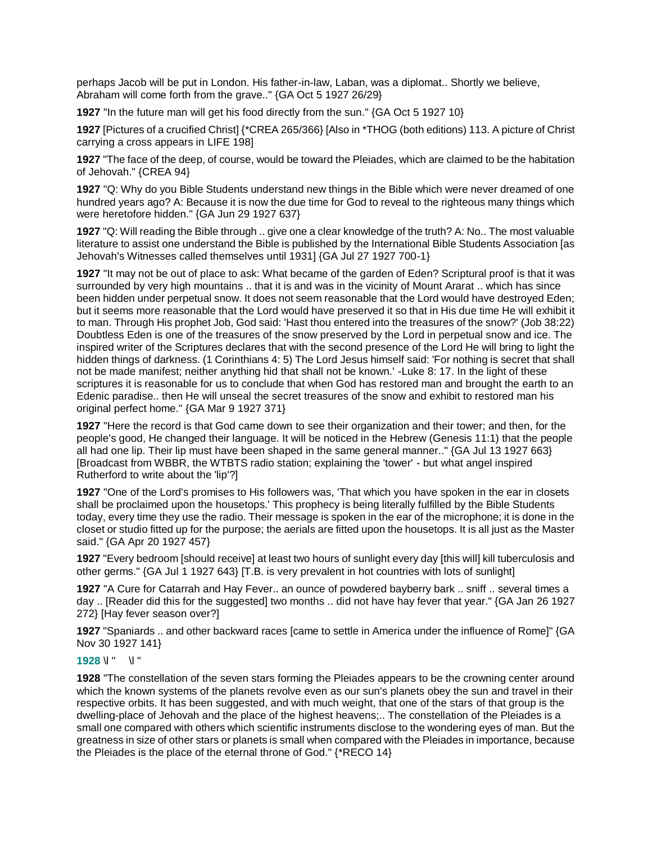perhaps Jacob will be put in London. His father-in-law, Laban, was a diplomat.. Shortly we believe, Abraham will come forth from the grave.." {GA Oct 5 1927 26/29}

**1927** "In the future man will get his food directly from the sun." {GA Oct 5 1927 10}

**1927** [Pictures of a crucified Christ] {\*CREA 265/366} [Also in \*THOG (both editions) 113. A picture of Christ carrying a cross appears in LIFE 198]

**1927** "The face of the deep, of course, would be toward the Pleiades, which are claimed to be the habitation of Jehovah." {CREA 94}

**1927** "Q: Why do you Bible Students understand new things in the Bible which were never dreamed of one hundred years ago? A: Because it is now the due time for God to reveal to the righteous many things which were heretofore hidden." {GA Jun 29 1927 637}

**1927** "Q: Will reading the Bible through .. give one a clear knowledge of the truth? A: No.. The most valuable literature to assist one understand the Bible is published by the International Bible Students Association [as Jehovah's Witnesses called themselves until 1931] {GA Jul 27 1927 700-1}

**1927** "It may not be out of place to ask: What became of the garden of Eden? Scriptural proof is that it was surrounded by very high mountains .. that it is and was in the vicinity of Mount Ararat .. which has since been hidden under perpetual snow. It does not seem reasonable that the Lord would have destroyed Eden; but it seems more reasonable that the Lord would have preserved it so that in His due time He will exhibit it to man. Through His prophet Job, God said: 'Hast thou entered into the treasures of the snow?' (Job 38:22) Doubtless Eden is one of the treasures of the snow preserved by the Lord in perpetual snow and ice. The inspired writer of the Scriptures declares that with the second presence of the Lord He will bring to light the hidden things of darkness. (1 Corinthians 4: 5) The Lord Jesus himself said: 'For nothing is secret that shall not be made manifest; neither anything hid that shall not be known.' -Luke 8: 17. In the light of these scriptures it is reasonable for us to conclude that when God has restored man and brought the earth to an Edenic paradise.. then He will unseal the secret treasures of the snow and exhibit to restored man his original perfect home." {GA Mar 9 1927 371}

**1927** "Here the record is that God came down to see their organization and their tower; and then, for the people's good, He changed their language. It will be noticed in the Hebrew (Genesis 11:1) that the people all had one lip. Their lip must have been shaped in the same general manner.." {GA Jul 13 1927 663} [Broadcast from WBBR, the WTBTS radio station; explaining the 'tower' - but what angel inspired Rutherford to write about the 'lip'?]

**1927** "One of the Lord's promises to His followers was, 'That which you have spoken in the ear in closets shall be proclaimed upon the housetops.' This prophecy is being literally fulfilled by the Bible Students today, every time they use the radio. Their message is spoken in the ear of the microphone; it is done in the closet or studio fitted up for the purpose; the aerials are fitted upon the housetops. It is all just as the Master said." {GA Apr 20 1927 457}

**1927** "Every bedroom [should receive] at least two hours of sunlight every day [this will] kill tuberculosis and other germs." {GA Jul 1 1927 643} [T.B. is very prevalent in hot countries with lots of sunlight]

**1927** "A Cure for Catarrah and Hay Fever.. an ounce of powdered bayberry bark .. sniff .. several times a day .. [Reader did this for the suggested] two months .. did not have hay fever that year." {GA Jan 26 1927 272} [Hay fever season over?]

**1927** "Spaniards .. and other backward races [came to settle in America under the influence of Rome]" {GA Nov 30 1927 141}

# **1928** \l " \l "

**1928** "The constellation of the seven stars forming the Pleiades appears to be the crowning center around which the known systems of the planets revolve even as our sun's planets obey the sun and travel in their respective orbits. It has been suggested, and with much weight, that one of the stars of that group is the dwelling-place of Jehovah and the place of the highest heavens;.. The constellation of the Pleiades is a small one compared with others which scientific instruments disclose to the wondering eyes of man. But the greatness in size of other stars or planets is small when compared with the Pleiades in importance, because the Pleiades is the place of the eternal throne of God." {\*RECO 14}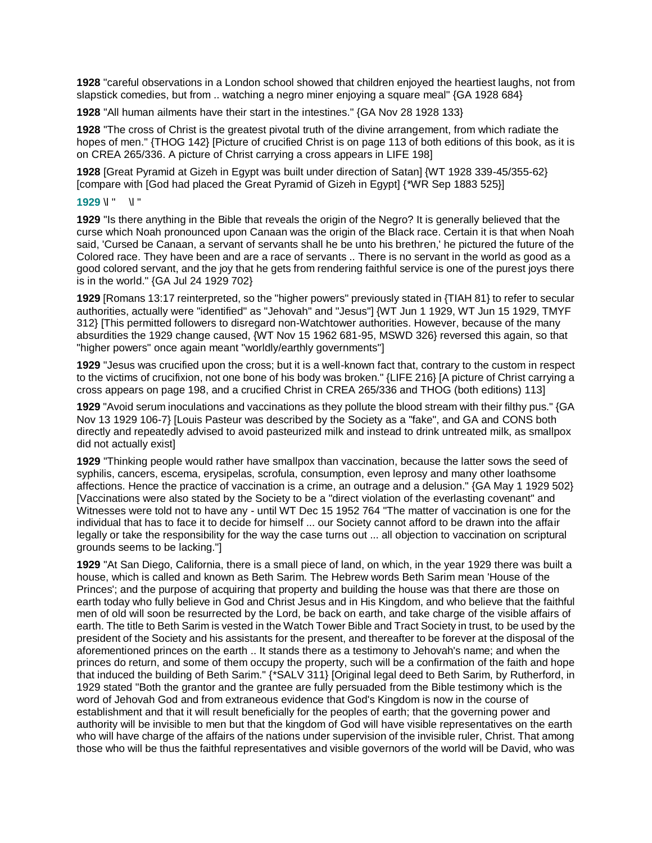**1928** "careful observations in a London school showed that children enjoyed the heartiest laughs, not from slapstick comedies, but from .. watching a negro miner enjoying a square meal" {GA 1928 684}

**1928** "All human ailments have their start in the intestines." {GA Nov 28 1928 133}

**1928** "The cross of Christ is the greatest pivotal truth of the divine arrangement, from which radiate the hopes of men." {THOG 142} [Picture of crucified Christ is on page 113 of both editions of this book, as it is on CREA 265/336. A picture of Christ carrying a cross appears in LIFE 198]

**1928** [Great Pyramid at Gizeh in Egypt was built under direction of Satan] {WT 1928 339-45/355-62} [compare with [God had placed the Great Pyramid of Gizeh in Egypt] {\*WR Sep 1883 525}]

#### **1929** \l " \l "

**1929** "Is there anything in the Bible that reveals the origin of the Negro? It is generally believed that the curse which Noah pronounced upon Canaan was the origin of the Black race. Certain it is that when Noah said, 'Cursed be Canaan, a servant of servants shall he be unto his brethren,' he pictured the future of the Colored race. They have been and are a race of servants .. There is no servant in the world as good as a good colored servant, and the joy that he gets from rendering faithful service is one of the purest joys there is in the world." {GA Jul 24 1929 702}

**1929** [Romans 13:17 reinterpreted, so the "higher powers" previously stated in {TIAH 81} to refer to secular authorities, actually were "identified" as "Jehovah" and "Jesus"] {WT Jun 1 1929, WT Jun 15 1929, TMYF 312} [This permitted followers to disregard non-Watchtower authorities. However, because of the many absurdities the 1929 change caused, {WT Nov 15 1962 681-95, MSWD 326} reversed this again, so that "higher powers" once again meant "worldly/earthly governments"]

**1929** "Jesus was crucified upon the cross; but it is a well-known fact that, contrary to the custom in respect to the victims of crucifixion, not one bone of his body was broken." {LIFE 216} [A picture of Christ carrying a cross appears on page 198, and a crucified Christ in CREA 265/336 and THOG (both editions) 113]

**1929** "Avoid serum inoculations and vaccinations as they pollute the blood stream with their filthy pus." {GA Nov 13 1929 106-7} [Louis Pasteur was described by the Society as a "fake", and GA and CONS both directly and repeatedly advised to avoid pasteurized milk and instead to drink untreated milk, as smallpox did not actually exist]

**1929** "Thinking people would rather have smallpox than vaccination, because the latter sows the seed of syphilis, cancers, escema, erysipelas, scrofula, consumption, even leprosy and many other loathsome affections. Hence the practice of vaccination is a crime, an outrage and a delusion." {GA May 1 1929 502} [Vaccinations were also stated by the Society to be a "direct violation of the everlasting covenant" and Witnesses were told not to have any - until WT Dec 15 1952 764 "The matter of vaccination is one for the individual that has to face it to decide for himself ... our Society cannot afford to be drawn into the affair legally or take the responsibility for the way the case turns out ... all objection to vaccination on scriptural grounds seems to be lacking."]

**1929** "At San Diego, California, there is a small piece of land, on which, in the year 1929 there was built a house, which is called and known as Beth Sarim. The Hebrew words Beth Sarim mean 'House of the Princes'; and the purpose of acquiring that property and building the house was that there are those on earth today who fully believe in God and Christ Jesus and in His Kingdom, and who believe that the faithful men of old will soon be resurrected by the Lord, be back on earth, and take charge of the visible affairs of earth. The title to Beth Sarim is vested in the Watch Tower Bible and Tract Society in trust, to be used by the president of the Society and his assistants for the present, and thereafter to be forever at the disposal of the aforementioned princes on the earth .. It stands there as a testimony to Jehovah's name; and when the princes do return, and some of them occupy the property, such will be a confirmation of the faith and hope that induced the building of Beth Sarim." {\*SALV 311} [Original legal deed to Beth Sarim, by Rutherford, in 1929 stated "Both the grantor and the grantee are fully persuaded from the Bible testimony which is the word of Jehovah God and from extraneous evidence that God's Kingdom is now in the course of establishment and that it will result beneficially for the peoples of earth; that the governing power and authority will be invisible to men but that the kingdom of God will have visible representatives on the earth who will have charge of the affairs of the nations under supervision of the invisible ruler, Christ. That among those who will be thus the faithful representatives and visible governors of the world will be David, who was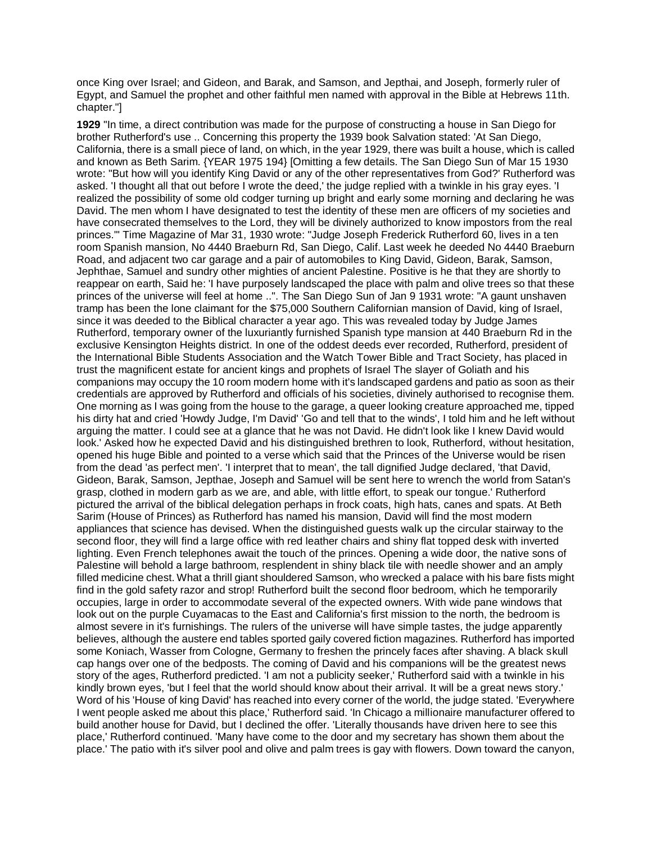once King over Israel; and Gideon, and Barak, and Samson, and Jepthai, and Joseph, formerly ruler of Egypt, and Samuel the prophet and other faithful men named with approval in the Bible at Hebrews 11th. chapter."]

**1929** "In time, a direct contribution was made for the purpose of constructing a house in San Diego for brother Rutherford's use .. Concerning this property the 1939 book Salvation stated: 'At San Diego, California, there is a small piece of land, on which, in the year 1929, there was built a house, which is called and known as Beth Sarim. {YEAR 1975 194} [Omitting a few details. The San Diego Sun of Mar 15 1930 wrote: "But how will you identify King David or any of the other representatives from God?' Rutherford was asked. 'I thought all that out before I wrote the deed,' the judge replied with a twinkle in his gray eyes. 'I realized the possibility of some old codger turning up bright and early some morning and declaring he was David. The men whom I have designated to test the identity of these men are officers of my societies and have consecrated themselves to the Lord, they will be divinely authorized to know impostors from the real princes.'" Time Magazine of Mar 31, 1930 wrote: "Judge Joseph Frederick Rutherford 60, lives in a ten room Spanish mansion, No 4440 Braeburn Rd, San Diego, Calif. Last week he deeded No 4440 Braeburn Road, and adjacent two car garage and a pair of automobiles to King David, Gideon, Barak, Samson, Jephthae, Samuel and sundry other mighties of ancient Palestine. Positive is he that they are shortly to reappear on earth, Said he: 'I have purposely landscaped the place with palm and olive trees so that these princes of the universe will feel at home ..". The San Diego Sun of Jan 9 1931 wrote: "A gaunt unshaven tramp has been the lone claimant for the \$75,000 Southern Californian mansion of David, king of Israel, since it was deeded to the Biblical character a year ago. This was revealed today by Judge James Rutherford, temporary owner of the luxuriantly furnished Spanish type mansion at 440 Braeburn Rd in the exclusive Kensington Heights district. In one of the oddest deeds ever recorded, Rutherford, president of the International Bible Students Association and the Watch Tower Bible and Tract Society, has placed in trust the magnificent estate for ancient kings and prophets of Israel The slayer of Goliath and his companions may occupy the 10 room modern home with it's landscaped gardens and patio as soon as their credentials are approved by Rutherford and officials of his societies, divinely authorised to recognise them. One morning as I was going from the house to the garage, a queer looking creature approached me, tipped his dirty hat and cried 'Howdy Judge, I'm David' 'Go and tell that to the winds', I told him and he left without arguing the matter. I could see at a glance that he was not David. He didn't look like I knew David would look.' Asked how he expected David and his distinguished brethren to look, Rutherford, without hesitation, opened his huge Bible and pointed to a verse which said that the Princes of the Universe would be risen from the dead 'as perfect men'. 'I interpret that to mean', the tall dignified Judge declared, 'that David, Gideon, Barak, Samson, Jepthae, Joseph and Samuel will be sent here to wrench the world from Satan's grasp, clothed in modern garb as we are, and able, with little effort, to speak our tongue.' Rutherford pictured the arrival of the biblical delegation perhaps in frock coats, high hats, canes and spats. At Beth Sarim (House of Princes) as Rutherford has named his mansion, David will find the most modern appliances that science has devised. When the distinguished guests walk up the circular stairway to the second floor, they will find a large office with red leather chairs and shiny flat topped desk with inverted lighting. Even French telephones await the touch of the princes. Opening a wide door, the native sons of Palestine will behold a large bathroom, resplendent in shiny black tile with needle shower and an amply filled medicine chest. What a thrill giant shouldered Samson, who wrecked a palace with his bare fists might find in the gold safety razor and strop! Rutherford built the second floor bedroom, which he temporarily occupies, large in order to accommodate several of the expected owners. With wide pane windows that look out on the purple Cuyamacas to the East and California's first mission to the north, the bedroom is almost severe in it's furnishings. The rulers of the universe will have simple tastes, the judge apparently believes, although the austere end tables sported gaily covered fiction magazines. Rutherford has imported some Koniach, Wasser from Cologne, Germany to freshen the princely faces after shaving. A black skull cap hangs over one of the bedposts. The coming of David and his companions will be the greatest news story of the ages, Rutherford predicted. 'I am not a publicity seeker,' Rutherford said with a twinkle in his kindly brown eyes, 'but I feel that the world should know about their arrival. It will be a great news story.' Word of his 'House of king David' has reached into every corner of the world, the judge stated. 'Everywhere I went people asked me about this place,' Rutherford said. 'In Chicago a millionaire manufacturer offered to build another house for David, but I declined the offer. 'Literally thousands have driven here to see this place,' Rutherford continued. 'Many have come to the door and my secretary has shown them about the place.' The patio with it's silver pool and olive and palm trees is gay with flowers. Down toward the canyon,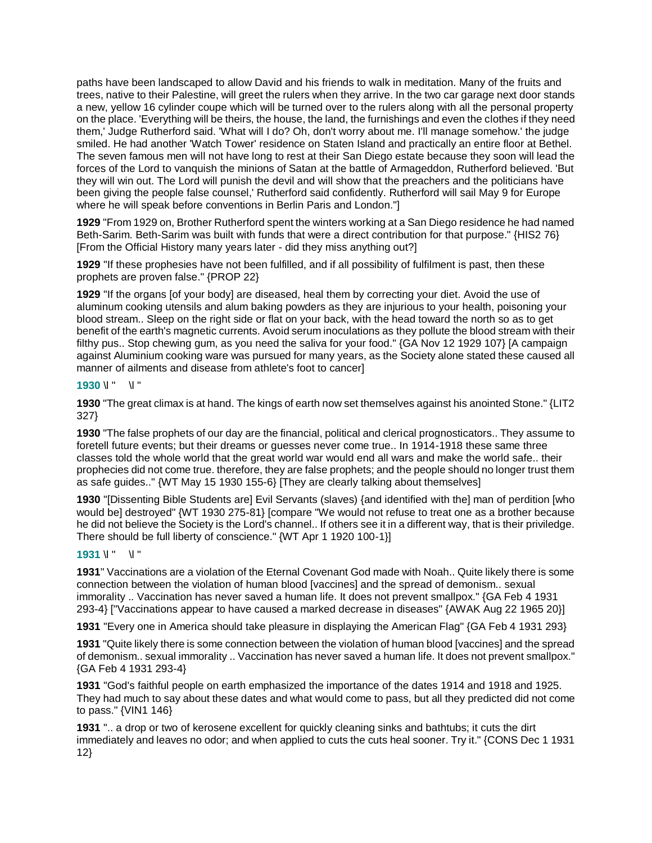paths have been landscaped to allow David and his friends to walk in meditation. Many of the fruits and trees, native to their Palestine, will greet the rulers when they arrive. In the two car garage next door stands a new, yellow 16 cylinder coupe which will be turned over to the rulers along with all the personal property on the place. 'Everything will be theirs, the house, the land, the furnishings and even the clothes if they need them,' Judge Rutherford said. 'What will I do? Oh, don't worry about me. I'll manage somehow.' the judge smiled. He had another 'Watch Tower' residence on Staten Island and practically an entire floor at Bethel. The seven famous men will not have long to rest at their San Diego estate because they soon will lead the forces of the Lord to vanquish the minions of Satan at the battle of Armageddon, Rutherford believed. 'But they will win out. The Lord will punish the devil and will show that the preachers and the politicians have been giving the people false counsel,' Rutherford said confidently. Rutherford will sail May 9 for Europe where he will speak before conventions in Berlin Paris and London."]

**1929** "From 1929 on, Brother Rutherford spent the winters working at a San Diego residence he had named Beth-Sarim. Beth-Sarim was built with funds that were a direct contribution for that purpose." {HIS2 76} [From the Official History many years later - did they miss anything out?]

**1929** "If these prophesies have not been fulfilled, and if all possibility of fulfilment is past, then these prophets are proven false." {PROP 22}

**1929** "If the organs [of your body] are diseased, heal them by correcting your diet. Avoid the use of aluminum cooking utensils and alum baking powders as they are injurious to your health, poisoning your blood stream.. Sleep on the right side or flat on your back, with the head toward the north so as to get benefit of the earth's magnetic currents. Avoid serum inoculations as they pollute the blood stream with their filthy pus.. Stop chewing gum, as you need the saliva for your food." {GA Nov 12 1929 107} [A campaign against Aluminium cooking ware was pursued for many years, as the Society alone stated these caused all manner of ailments and disease from athlete's foot to cancer]

## **1930** \l " \l "

**1930** "The great climax is at hand. The kings of earth now set themselves against his anointed Stone." {LIT2 327}

**1930** "The false prophets of our day are the financial, political and clerical prognosticators.. They assume to foretell future events; but their dreams or guesses never come true.. In 1914-1918 these same three classes told the whole world that the great world war would end all wars and make the world safe.. their prophecies did not come true. therefore, they are false prophets; and the people should no longer trust them as safe guides.." {WT May 15 1930 155-6} [They are clearly talking about themselves]

**1930** "[Dissenting Bible Students are] Evil Servants (slaves) {and identified with the] man of perdition [who would be] destroyed" {WT 1930 275-81} [compare "We would not refuse to treat one as a brother because he did not believe the Society is the Lord's channel.. If others see it in a different way, that is their priviledge. There should be full liberty of conscience." {WT Apr 1 1920 100-1}]

## **1931** \l " \l "

**1931**" Vaccinations are a violation of the Eternal Covenant God made with Noah.. Quite likely there is some connection between the violation of human blood [vaccines] and the spread of demonism.. sexual immorality .. Vaccination has never saved a human life. It does not prevent smallpox." {GA Feb 4 1931 293-4} ["Vaccinations appear to have caused a marked decrease in diseases" {AWAK Aug 22 1965 20}]

**1931** "Every one in America should take pleasure in displaying the American Flag" {GA Feb 4 1931 293}

**1931** "Quite likely there is some connection between the violation of human blood [vaccines] and the spread of demonism.. sexual immorality .. Vaccination has never saved a human life. It does not prevent smallpox." {GA Feb 4 1931 293-4}

**1931** "God's faithful people on earth emphasized the importance of the dates 1914 and 1918 and 1925. They had much to say about these dates and what would come to pass, but all they predicted did not come to pass." {VIN1 146}

**1931** ".. a drop or two of kerosene excellent for quickly cleaning sinks and bathtubs; it cuts the dirt immediately and leaves no odor; and when applied to cuts the cuts heal sooner. Try it." {CONS Dec 1 1931 12}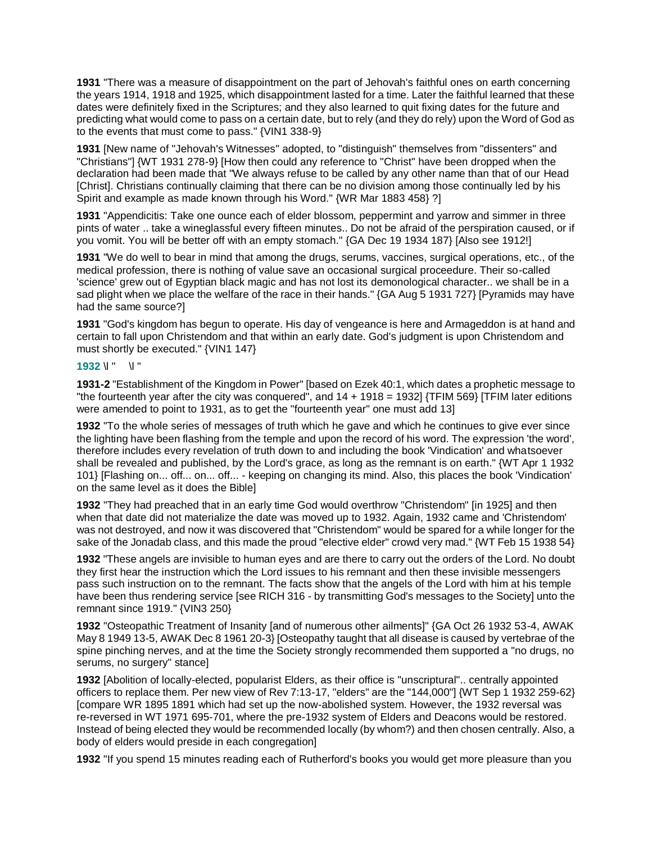**1931** "There was a measure of disappointment on the part of Jehovah's faithful ones on earth concerning the years 1914, 1918 and 1925, which disappointment lasted for a time. Later the faithful learned that these dates were definitely fixed in the Scriptures; and they also learned to quit fixing dates for the future and predicting what would come to pass on a certain date, but to rely (and they do rely) upon the Word of God as to the events that must come to pass." {VIN1 338-9}

**1931** [New name of "Jehovah's Witnesses" adopted, to "distinguish" themselves from "dissenters" and "Christians"] {WT 1931 278-9} [How then could any reference to "Christ" have been dropped when the declaration had been made that "We always refuse to be called by any other name than that of our Head [Christ]. Christians continually claiming that there can be no division among those continually led by his Spirit and example as made known through his Word." {WR Mar 1883 458} ?]

**1931** "Appendicitis: Take one ounce each of elder blossom, peppermint and yarrow and simmer in three pints of water .. take a wineglassful every fifteen minutes.. Do not be afraid of the perspiration caused, or if you vomit. You will be better off with an empty stomach." {GA Dec 19 1934 187} [Also see 1912!]

**1931** "We do well to bear in mind that among the drugs, serums, vaccines, surgical operations, etc., of the medical profession, there is nothing of value save an occasional surgical proceedure. Their so-called 'science' grew out of Egyptian black magic and has not lost its demonological character.. we shall be in a sad plight when we place the welfare of the race in their hands." {GA Aug 5 1931 727} [Pyramids may have had the same source?]

**1931** "God's kingdom has begun to operate. His day of vengeance is here and Armageddon is at hand and certain to fall upon Christendom and that within an early date. God's judgment is upon Christendom and must shortly be executed." {VIN1 147}

## **1932** \l " \l "

**1931-2** "Establishment of the Kingdom in Power" [based on Ezek 40:1, which dates a prophetic message to "the fourteenth year after the city was conquered", and 14 + 1918 = 1932] {TFIM 569} [TFIM later editions were amended to point to 1931, as to get the "fourteenth year" one must add 13]

**1932** "To the whole series of messages of truth which he gave and which he continues to give ever since the lighting have been flashing from the temple and upon the record of his word. The expression 'the word', therefore includes every revelation of truth down to and including the book 'Vindication' and whatsoever shall be revealed and published, by the Lord's grace, as long as the remnant is on earth." {WT Apr 1 1932 101} [Flashing on... off... on... off... - keeping on changing its mind. Also, this places the book 'Vindication' on the same level as it does the Bible]

**1932** "They had preached that in an early time God would overthrow "Christendom" [in 1925] and then when that date did not materialize the date was moved up to 1932. Again, 1932 came and 'Christendom' was not destroyed, and now it was discovered that "Christendom" would be spared for a while longer for the sake of the Jonadab class, and this made the proud "elective elder" crowd very mad." {WT Feb 15 1938 54}

**1932** "These angels are invisible to human eyes and are there to carry out the orders of the Lord. No doubt they first hear the instruction which the Lord issues to his remnant and then these invisible messengers pass such instruction on to the remnant. The facts show that the angels of the Lord with him at his temple have been thus rendering service [see RICH 316 - by transmitting God's messages to the Society] unto the remnant since 1919." {VIN3 250}

**1932** "Osteopathic Treatment of Insanity [and of numerous other ailments]" {GA Oct 26 1932 53-4, AWAK May 8 1949 13-5, AWAK Dec 8 1961 20-3} [Osteopathy taught that all disease is caused by vertebrae of the spine pinching nerves, and at the time the Society strongly recommended them supported a "no drugs, no serums, no surgery" stance]

**1932** [Abolition of locally-elected, popularist Elders, as their office is "unscriptural".. centrally appointed officers to replace them. Per new view of Rev 7:13-17, "elders" are the "144,000"] {WT Sep 1 1932 259-62} [compare WR 1895 1891 which had set up the now-abolished system. However, the 1932 reversal was re-reversed in WT 1971 695-701, where the pre-1932 system of Elders and Deacons would be restored. Instead of being elected they would be recommended locally (by whom?) and then chosen centrally. Also, a body of elders would preside in each congregation]

**1932** "If you spend 15 minutes reading each of Rutherford's books you would get more pleasure than you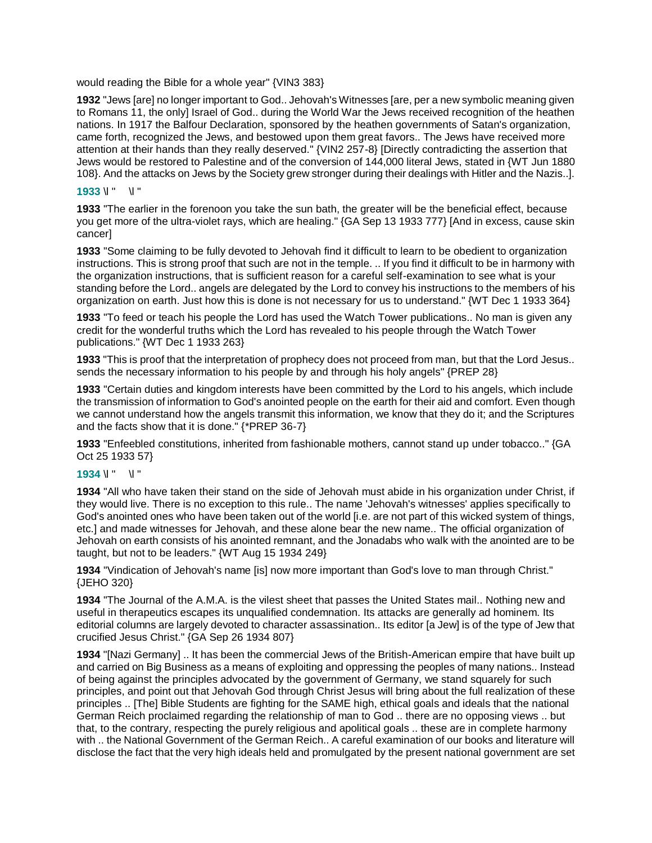would reading the Bible for a whole year" {VIN3 383}

**1932** "Jews [are] no longer important to God.. Jehovah's Witnesses [are, per a new symbolic meaning given to Romans 11, the only] Israel of God.. during the World War the Jews received recognition of the heathen nations. In 1917 the Balfour Declaration, sponsored by the heathen governments of Satan's organization, came forth, recognized the Jews, and bestowed upon them great favors.. The Jews have received more attention at their hands than they really deserved." {VIN2 257-8} [Directly contradicting the assertion that Jews would be restored to Palestine and of the conversion of 144,000 literal Jews, stated in {WT Jun 1880 108}. And the attacks on Jews by the Society grew stronger during their dealings with Hitler and the Nazis..].

## **1933** \l " \l "

**1933** "The earlier in the forenoon you take the sun bath, the greater will be the beneficial effect, because you get more of the ultra-violet rays, which are healing." {GA Sep 13 1933 777} [And in excess, cause skin cancer]

**1933** "Some claiming to be fully devoted to Jehovah find it difficult to learn to be obedient to organization instructions. This is strong proof that such are not in the temple. .. If you find it difficult to be in harmony with the organization instructions, that is sufficient reason for a careful self-examination to see what is your standing before the Lord.. angels are delegated by the Lord to convey his instructions to the members of his organization on earth. Just how this is done is not necessary for us to understand." {WT Dec 1 1933 364}

**1933** "To feed or teach his people the Lord has used the Watch Tower publications.. No man is given any credit for the wonderful truths which the Lord has revealed to his people through the Watch Tower publications." {WT Dec 1 1933 263}

**1933** "This is proof that the interpretation of prophecy does not proceed from man, but that the Lord Jesus.. sends the necessary information to his people by and through his holy angels" {PREP 28}

**1933** "Certain duties and kingdom interests have been committed by the Lord to his angels, which include the transmission of information to God's anointed people on the earth for their aid and comfort. Even though we cannot understand how the angels transmit this information, we know that they do it; and the Scriptures and the facts show that it is done." {\*PREP 36-7}

**1933** "Enfeebled constitutions, inherited from fashionable mothers, cannot stand up under tobacco.." {GA Oct 25 1933 57}

## **1934** \l " \l "

**1934** "All who have taken their stand on the side of Jehovah must abide in his organization under Christ, if they would live. There is no exception to this rule.. The name 'Jehovah's witnesses' applies specifically to God's anointed ones who have been taken out of the world [i.e. are not part of this wicked system of things, etc.] and made witnesses for Jehovah, and these alone bear the new name.. The official organization of Jehovah on earth consists of his anointed remnant, and the Jonadabs who walk with the anointed are to be taught, but not to be leaders." {WT Aug 15 1934 249}

**1934** "Vindication of Jehovah's name [is] now more important than God's love to man through Christ." {JEHO 320}

**1934** "The Journal of the A.M.A. is the vilest sheet that passes the United States mail.. Nothing new and useful in therapeutics escapes its unqualified condemnation. Its attacks are generally ad hominem. Its editorial columns are largely devoted to character assassination.. Its editor [a Jew] is of the type of Jew that crucified Jesus Christ." {GA Sep 26 1934 807}

**1934** "[Nazi Germany] .. It has been the commercial Jews of the British-American empire that have built up and carried on Big Business as a means of exploiting and oppressing the peoples of many nations.. Instead of being against the principles advocated by the government of Germany, we stand squarely for such principles, and point out that Jehovah God through Christ Jesus will bring about the full realization of these principles .. [The] Bible Students are fighting for the SAME high, ethical goals and ideals that the national German Reich proclaimed regarding the relationship of man to God .. there are no opposing views .. but that, to the contrary, respecting the purely religious and apolitical goals .. these are in complete harmony with .. the National Government of the German Reich.. A careful examination of our books and literature will disclose the fact that the very high ideals held and promulgated by the present national government are set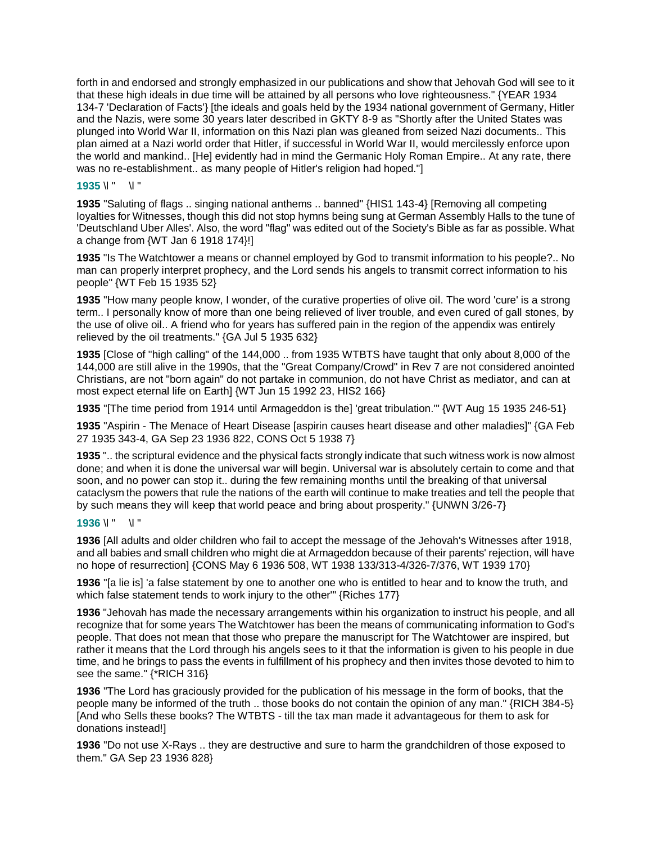forth in and endorsed and strongly emphasized in our publications and show that Jehovah God will see to it that these high ideals in due time will be attained by all persons who love righteousness." {YEAR 1934 134-7 'Declaration of Facts'} [the ideals and goals held by the 1934 national government of Germany, Hitler and the Nazis, were some 30 years later described in GKTY 8-9 as "Shortly after the United States was plunged into World War II, information on this Nazi plan was gleaned from seized Nazi documents.. This plan aimed at a Nazi world order that Hitler, if successful in World War II, would mercilessly enforce upon the world and mankind.. [He] evidently had in mind the Germanic Holy Roman Empire.. At any rate, there was no re-establishment.. as many people of Hitler's religion had hoped."]

# **1935** \l " \l "

**1935** "Saluting of flags .. singing national anthems .. banned" {HIS1 143-4} [Removing all competing loyalties for Witnesses, though this did not stop hymns being sung at German Assembly Halls to the tune of 'Deutschland Uber Alles'. Also, the word "flag" was edited out of the Society's Bible as far as possible. What a change from {WT Jan 6 1918 174}!]

**1935** "Is The Watchtower a means or channel employed by God to transmit information to his people?.. No man can properly interpret prophecy, and the Lord sends his angels to transmit correct information to his people" {WT Feb 15 1935 52}

**1935** "How many people know, I wonder, of the curative properties of olive oil. The word 'cure' is a strong term.. I personally know of more than one being relieved of liver trouble, and even cured of gall stones, by the use of olive oil.. A friend who for years has suffered pain in the region of the appendix was entirely relieved by the oil treatments." {GA Jul 5 1935 632}

**1935** [Close of "high calling" of the 144,000 .. from 1935 WTBTS have taught that only about 8,000 of the 144,000 are still alive in the 1990s, that the "Great Company/Crowd" in Rev 7 are not considered anointed Christians, are not "born again" do not partake in communion, do not have Christ as mediator, and can at most expect eternal life on Earth] {WT Jun 15 1992 23, HIS2 166}

**1935** "[The time period from 1914 until Armageddon is the] 'great tribulation.'" {WT Aug 15 1935 246-51}

**1935** "Aspirin - The Menace of Heart Disease [aspirin causes heart disease and other maladies]" {GA Feb 27 1935 343-4, GA Sep 23 1936 822, CONS Oct 5 1938 7}

**1935** ".. the scriptural evidence and the physical facts strongly indicate that such witness work is now almost done; and when it is done the universal war will begin. Universal war is absolutely certain to come and that soon, and no power can stop it.. during the few remaining months until the breaking of that universal cataclysm the powers that rule the nations of the earth will continue to make treaties and tell the people that by such means they will keep that world peace and bring about prosperity." {UNWN 3/26-7}

# **1936** \l " \l "

**1936** [All adults and older children who fail to accept the message of the Jehovah's Witnesses after 1918, and all babies and small children who might die at Armageddon because of their parents' rejection, will have no hope of resurrection] {CONS May 6 1936 508, WT 1938 133/313-4/326-7/376, WT 1939 170}

**1936** "[a lie is] 'a false statement by one to another one who is entitled to hear and to know the truth, and which false statement tends to work injury to the other'" {Riches 177}

**1936** "Jehovah has made the necessary arrangements within his organization to instruct his people, and all recognize that for some years The Watchtower has been the means of communicating information to God's people. That does not mean that those who prepare the manuscript for The Watchtower are inspired, but rather it means that the Lord through his angels sees to it that the information is given to his people in due time, and he brings to pass the events in fulfillment of his prophecy and then invites those devoted to him to see the same." {\*RICH 316}

**1936** "The Lord has graciously provided for the publication of his message in the form of books, that the people many be informed of the truth .. those books do not contain the opinion of any man." {RICH 384-5} [And who Sells these books? The WTBTS - till the tax man made it advantageous for them to ask for donations instead!]

**1936** "Do not use X-Rays .. they are destructive and sure to harm the grandchildren of those exposed to them." GA Sep 23 1936 828}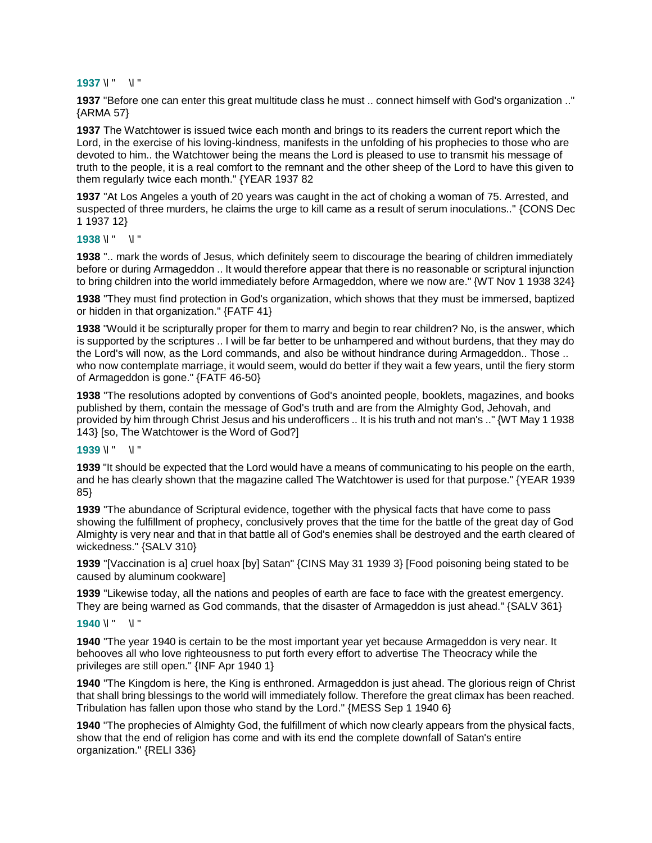#### **1937** \l " \l "

**1937** "Before one can enter this great multitude class he must .. connect himself with God's organization .." {ARMA 57}

**1937** The Watchtower is issued twice each month and brings to its readers the current report which the Lord, in the exercise of his loving-kindness, manifests in the unfolding of his prophecies to those who are devoted to him.. the Watchtower being the means the Lord is pleased to use to transmit his message of truth to the people, it is a real comfort to the remnant and the other sheep of the Lord to have this given to them regularly twice each month." {YEAR 1937 82

**1937** "At Los Angeles a youth of 20 years was caught in the act of choking a woman of 75. Arrested, and suspected of three murders, he claims the urge to kill came as a result of serum inoculations.." {CONS Dec 1 1937 12}

**1938** \l " \l "

**1938** ".. mark the words of Jesus, which definitely seem to discourage the bearing of children immediately before or during Armageddon .. It would therefore appear that there is no reasonable or scriptural injunction to bring children into the world immediately before Armageddon, where we now are." {WT Nov 1 1938 324}

**1938** "They must find protection in God's organization, which shows that they must be immersed, baptized or hidden in that organization." {FATF 41}

**1938** "Would it be scripturally proper for them to marry and begin to rear children? No, is the answer, which is supported by the scriptures .. I will be far better to be unhampered and without burdens, that they may do the Lord's will now, as the Lord commands, and also be without hindrance during Armageddon.. Those .. who now contemplate marriage, it would seem, would do better if they wait a few years, until the fiery storm of Armageddon is gone." {FATF 46-50}

**1938** "The resolutions adopted by conventions of God's anointed people, booklets, magazines, and books published by them, contain the message of God's truth and are from the Almighty God, Jehovah, and provided by him through Christ Jesus and his underofficers .. It is his truth and not man's .." {WT May 1 1938 143} [so, The Watchtower is the Word of God?]

#### **1939** \l " \l "

**1939** "It should be expected that the Lord would have a means of communicating to his people on the earth, and he has clearly shown that the magazine called The Watchtower is used for that purpose." {YEAR 1939 85}

**1939** "The abundance of Scriptural evidence, together with the physical facts that have come to pass showing the fulfillment of prophecy, conclusively proves that the time for the battle of the great day of God Almighty is very near and that in that battle all of God's enemies shall be destroyed and the earth cleared of wickedness." {SALV 310}

**1939** "[Vaccination is a] cruel hoax [by] Satan" {CINS May 31 1939 3} [Food poisoning being stated to be caused by aluminum cookware]

**1939** "Likewise today, all the nations and peoples of earth are face to face with the greatest emergency. They are being warned as God commands, that the disaster of Armageddon is just ahead." {SALV 361}

#### **1940** \l " \l "

**1940** "The year 1940 is certain to be the most important year yet because Armageddon is very near. It behooves all who love righteousness to put forth every effort to advertise The Theocracy while the privileges are still open." {INF Apr 1940 1}

**1940** "The Kingdom is here, the King is enthroned. Armageddon is just ahead. The glorious reign of Christ that shall bring blessings to the world will immediately follow. Therefore the great climax has been reached. Tribulation has fallen upon those who stand by the Lord." {MESS Sep 1 1940 6}

**1940** "The prophecies of Almighty God, the fulfillment of which now clearly appears from the physical facts, show that the end of religion has come and with its end the complete downfall of Satan's entire organization." {RELI 336}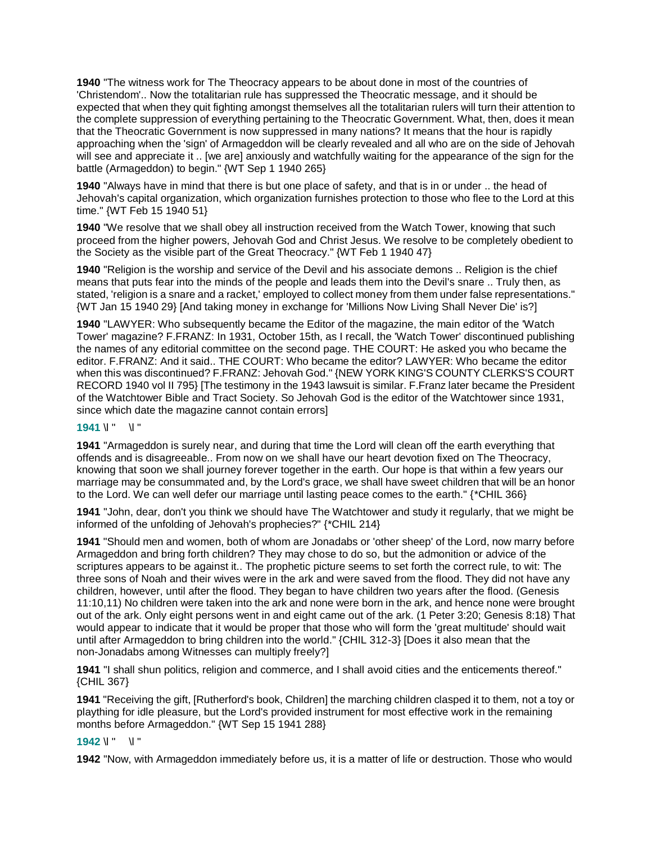**1940** "The witness work for The Theocracy appears to be about done in most of the countries of 'Christendom'.. Now the totalitarian rule has suppressed the Theocratic message, and it should be expected that when they quit fighting amongst themselves all the totalitarian rulers will turn their attention to the complete suppression of everything pertaining to the Theocratic Government. What, then, does it mean that the Theocratic Government is now suppressed in many nations? It means that the hour is rapidly approaching when the 'sign' of Armageddon will be clearly revealed and all who are on the side of Jehovah will see and appreciate it .. [we are] anxiously and watchfully waiting for the appearance of the sign for the battle (Armageddon) to begin." {WT Sep 1 1940 265}

**1940** "Always have in mind that there is but one place of safety, and that is in or under .. the head of Jehovah's capital organization, which organization furnishes protection to those who flee to the Lord at this time." {WT Feb 15 1940 51}

**1940** "We resolve that we shall obey all instruction received from the Watch Tower, knowing that such proceed from the higher powers, Jehovah God and Christ Jesus. We resolve to be completely obedient to the Society as the visible part of the Great Theocracy." {WT Feb 1 1940 47}

**1940** "Religion is the worship and service of the Devil and his associate demons .. Religion is the chief means that puts fear into the minds of the people and leads them into the Devil's snare .. Truly then, as stated, 'religion is a snare and a racket,' employed to collect money from them under false representations." {WT Jan 15 1940 29} [And taking money in exchange for 'Millions Now Living Shall Never Die' is?]

**1940** "LAWYER: Who subsequently became the Editor of the magazine, the main editor of the 'Watch Tower' magazine? F.FRANZ: In 1931, October 15th, as I recall, the 'Watch Tower' discontinued publishing the names of any editorial committee on the second page. THE COURT: He asked you who became the editor. F.FRANZ: And it said.. THE COURT: Who became the editor? LAWYER: Who became the editor when this was discontinued? F.FRANZ: Jehovah God." {NEW YORK KING'S COUNTY CLERKS'S COURT RECORD 1940 vol II 795} [The testimony in the 1943 lawsuit is similar. F.Franz later became the President of the Watchtower Bible and Tract Society. So Jehovah God is the editor of the Watchtower since 1931, since which date the magazine cannot contain errors]

## **1941** \l " \l "

**1941** "Armageddon is surely near, and during that time the Lord will clean off the earth everything that offends and is disagreeable.. From now on we shall have our heart devotion fixed on The Theocracy, knowing that soon we shall journey forever together in the earth. Our hope is that within a few years our marriage may be consummated and, by the Lord's grace, we shall have sweet children that will be an honor to the Lord. We can well defer our marriage until lasting peace comes to the earth." {\*CHIL 366}

**1941** "John, dear, don't you think we should have The Watchtower and study it regularly, that we might be informed of the unfolding of Jehovah's prophecies?" {\*CHIL 214}

**1941** "Should men and women, both of whom are Jonadabs or 'other sheep' of the Lord, now marry before Armageddon and bring forth children? They may chose to do so, but the admonition or advice of the scriptures appears to be against it.. The prophetic picture seems to set forth the correct rule, to wit: The three sons of Noah and their wives were in the ark and were saved from the flood. They did not have any children, however, until after the flood. They began to have children two years after the flood. (Genesis 11:10,11) No children were taken into the ark and none were born in the ark, and hence none were brought out of the ark. Only eight persons went in and eight came out of the ark. (1 Peter 3:20; Genesis 8:18) That would appear to indicate that it would be proper that those who will form the 'great multitude' should wait until after Armageddon to bring children into the world." {CHIL 312-3} [Does it also mean that the non-Jonadabs among Witnesses can multiply freely?]

**1941** "I shall shun politics, religion and commerce, and I shall avoid cities and the enticements thereof." {CHIL 367}

**1941** "Receiving the gift, [Rutherford's book, Children] the marching children clasped it to them, not a toy or plaything for idle pleasure, but the Lord's provided instrument for most effective work in the remaining months before Armageddon." {WT Sep 15 1941 288}

## **1942** \l " \l "

**1942** "Now, with Armageddon immediately before us, it is a matter of life or destruction. Those who would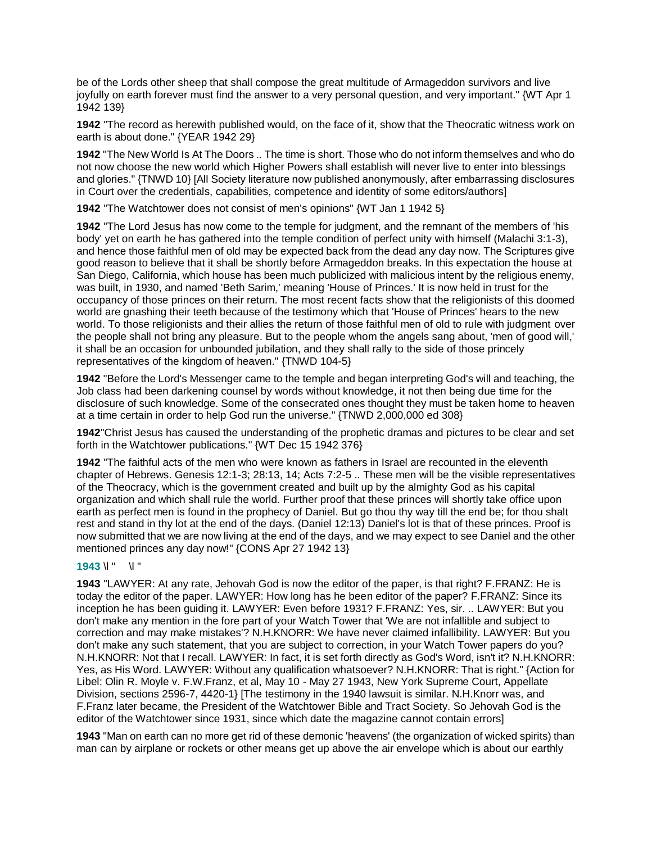be of the Lords other sheep that shall compose the great multitude of Armageddon survivors and live joyfully on earth forever must find the answer to a very personal question, and very important." {WT Apr 1 1942 139}

**1942** "The record as herewith published would, on the face of it, show that the Theocratic witness work on earth is about done." {YEAR 1942 29}

**1942** "The New World Is At The Doors .. The time is short. Those who do not inform themselves and who do not now choose the new world which Higher Powers shall establish will never live to enter into blessings and glories." {TNWD 10} [All Society literature now published anonymously, after embarrassing disclosures in Court over the credentials, capabilities, competence and identity of some editors/authors]

**1942** "The Watchtower does not consist of men's opinions" {WT Jan 1 1942 5}

**1942** "The Lord Jesus has now come to the temple for judgment, and the remnant of the members of 'his body' yet on earth he has gathered into the temple condition of perfect unity with himself (Malachi 3:1-3), and hence those faithful men of old may be expected back from the dead any day now. The Scriptures give good reason to believe that it shall be shortly before Armageddon breaks. In this expectation the house at San Diego, California, which house has been much publicized with malicious intent by the religious enemy, was built, in 1930, and named 'Beth Sarim,' meaning 'House of Princes.' It is now held in trust for the occupancy of those princes on their return. The most recent facts show that the religionists of this doomed world are gnashing their teeth because of the testimony which that 'House of Princes' hears to the new world. To those religionists and their allies the return of those faithful men of old to rule with judgment over the people shall not bring any pleasure. But to the people whom the angels sang about, 'men of good will,' it shall be an occasion for unbounded jubilation, and they shall rally to the side of those princely representatives of the kingdom of heaven." {TNWD 104-5}

**1942** "Before the Lord's Messenger came to the temple and began interpreting God's will and teaching, the Job class had been darkening counsel by words without knowledge, it not then being due time for the disclosure of such knowledge. Some of the consecrated ones thought they must be taken home to heaven at a time certain in order to help God run the universe." {TNWD 2,000,000 ed 308}

**1942**"Christ Jesus has caused the understanding of the prophetic dramas and pictures to be clear and set forth in the Watchtower publications." {WT Dec 15 1942 376}

**1942** "The faithful acts of the men who were known as fathers in Israel are recounted in the eleventh chapter of Hebrews. Genesis 12:1-3; 28:13, 14; Acts 7:2-5 .. These men will be the visible representatives of the Theocracy, which is the government created and built up by the almighty God as his capital organization and which shall rule the world. Further proof that these princes will shortly take office upon earth as perfect men is found in the prophecy of Daniel. But go thou thy way till the end be; for thou shalt rest and stand in thy lot at the end of the days. (Daniel 12:13) Daniel's lot is that of these princes. Proof is now submitted that we are now living at the end of the days, and we may expect to see Daniel and the other mentioned princes any day now!" {CONS Apr 27 1942 13}

## **1943** \l " \l "

**1943** "LAWYER: At any rate, Jehovah God is now the editor of the paper, is that right? F.FRANZ: He is today the editor of the paper. LAWYER: How long has he been editor of the paper? F.FRANZ: Since its inception he has been guiding it. LAWYER: Even before 1931? F.FRANZ: Yes, sir. .. LAWYER: But you don't make any mention in the fore part of your Watch Tower that 'We are not infallible and subject to correction and may make mistakes'? N.H.KNORR: We have never claimed infallibility. LAWYER: But you don't make any such statement, that you are subject to correction, in your Watch Tower papers do you? N.H.KNORR: Not that I recall. LAWYER: In fact, it is set forth directly as God's Word, isn't it? N.H.KNORR: Yes, as His Word. LAWYER: Without any qualification whatsoever? N.H.KNORR: That is right." {Action for Libel: Olin R. Moyle v. F.W.Franz, et al, May 10 - May 27 1943, New York Supreme Court, Appellate Division, sections 2596-7, 4420-1} [The testimony in the 1940 lawsuit is similar. N.H.Knorr was, and F.Franz later became, the President of the Watchtower Bible and Tract Society. So Jehovah God is the editor of the Watchtower since 1931, since which date the magazine cannot contain errors]

**1943** "Man on earth can no more get rid of these demonic 'heavens' (the organization of wicked spirits) than man can by airplane or rockets or other means get up above the air envelope which is about our earthly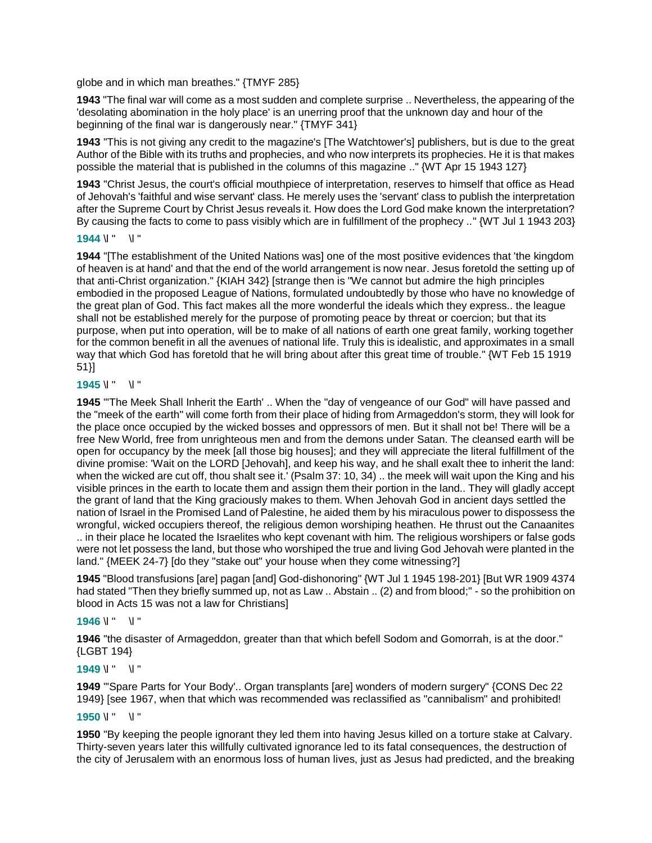globe and in which man breathes." {TMYF 285}

**1943** "The final war will come as a most sudden and complete surprise .. Nevertheless, the appearing of the 'desolating abomination in the holy place' is an unerring proof that the unknown day and hour of the beginning of the final war is dangerously near." {TMYF 341}

**1943** "This is not giving any credit to the magazine's [The Watchtower's] publishers, but is due to the great Author of the Bible with its truths and prophecies, and who now interprets its prophecies. He it is that makes possible the material that is published in the columns of this magazine .." {WT Apr 15 1943 127}

**1943** "Christ Jesus, the court's official mouthpiece of interpretation, reserves to himself that office as Head of Jehovah's 'faithful and wise servant' class. He merely uses the 'servant' class to publish the interpretation after the Supreme Court by Christ Jesus reveals it. How does the Lord God make known the interpretation? By causing the facts to come to pass visibly which are in fulfillment of the prophecy .." {WT Jul 1 1943 203}

#### **1944** \l " \l "

**1944** "[The establishment of the United Nations was] one of the most positive evidences that 'the kingdom of heaven is at hand' and that the end of the world arrangement is now near. Jesus foretold the setting up of that anti-Christ organization." {KIAH 342} [strange then is "We cannot but admire the high principles embodied in the proposed League of Nations, formulated undoubtedly by those who have no knowledge of the great plan of God. This fact makes all the more wonderful the ideals which they express.. the league shall not be established merely for the purpose of promoting peace by threat or coercion; but that its purpose, when put into operation, will be to make of all nations of earth one great family, working together for the common benefit in all the avenues of national life. Truly this is idealistic, and approximates in a small way that which God has foretold that he will bring about after this great time of trouble." {WT Feb 15 1919 51}]

#### **1945** \l " \l "

**1945** "'The Meek Shall Inherit the Earth' .. When the "day of vengeance of our God" will have passed and the "meek of the earth" will come forth from their place of hiding from Armageddon's storm, they will look for the place once occupied by the wicked bosses and oppressors of men. But it shall not be! There will be a free New World, free from unrighteous men and from the demons under Satan. The cleansed earth will be open for occupancy by the meek [all those big houses]; and they will appreciate the literal fulfillment of the divine promise: 'Wait on the LORD [Jehovah], and keep his way, and he shall exalt thee to inherit the land: when the wicked are cut off, thou shalt see it.' (Psalm 37: 10, 34) .. the meek will wait upon the King and his visible princes in the earth to locate them and assign them their portion in the land.. They will gladly accept the grant of land that the King graciously makes to them. When Jehovah God in ancient days settled the nation of Israel in the Promised Land of Palestine, he aided them by his miraculous power to dispossess the wrongful, wicked occupiers thereof, the religious demon worshiping heathen. He thrust out the Canaanites .. in their place he located the Israelites who kept covenant with him. The religious worshipers or false gods were not let possess the land, but those who worshiped the true and living God Jehovah were planted in the land." {MEEK 24-7} [do they "stake out" your house when they come witnessing?]

**1945** "Blood transfusions [are] pagan [and] God-dishonoring" {WT Jul 1 1945 198-201} [But WR 1909 4374 had stated "Then they briefly summed up, not as Law .. Abstain .. (2) and from blood;" - so the prohibition on blood in Acts 15 was not a law for Christians]

## **1946** \l " \l "

**1946** "the disaster of Armageddon, greater than that which befell Sodom and Gomorrah, is at the door." {LGBT 194}

## **1949**  $\sqrt{''}$   $\sqrt{''}$

**1949** "'Spare Parts for Your Body'.. Organ transplants [are] wonders of modern surgery" {CONS Dec 22 1949} [see 1967, when that which was recommended was reclassified as "cannibalism" and prohibited!

#### **1950** \l " \l "

**1950** "By keeping the people ignorant they led them into having Jesus killed on a torture stake at Calvary. Thirty-seven years later this willfully cultivated ignorance led to its fatal consequences, the destruction of the city of Jerusalem with an enormous loss of human lives, just as Jesus had predicted, and the breaking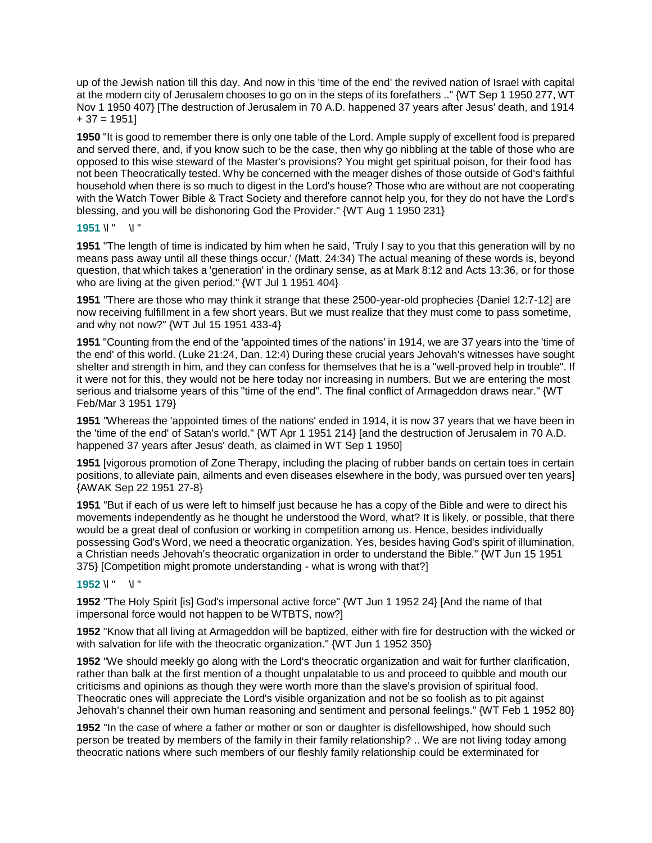up of the Jewish nation till this day. And now in this 'time of the end' the revived nation of Israel with capital at the modern city of Jerusalem chooses to go on in the steps of its forefathers .." {WT Sep 1 1950 277, WT Nov 1 1950 407} [The destruction of Jerusalem in 70 A.D. happened 37 years after Jesus' death, and 1914  $+ 37 = 1951$ 

**1950** "It is good to remember there is only one table of the Lord. Ample supply of excellent food is prepared and served there, and, if you know such to be the case, then why go nibbling at the table of those who are opposed to this wise steward of the Master's provisions? You might get spiritual poison, for their food has not been Theocratically tested. Why be concerned with the meager dishes of those outside of God's faithful household when there is so much to digest in the Lord's house? Those who are without are not cooperating with the Watch Tower Bible & Tract Society and therefore cannot help you, for they do not have the Lord's blessing, and you will be dishonoring God the Provider." {WT Aug 1 1950 231}

## **1951** \l " \l "

**1951** "The length of time is indicated by him when he said, 'Truly I say to you that this generation will by no means pass away until all these things occur.' (Matt. 24:34) The actual meaning of these words is, beyond question, that which takes a 'generation' in the ordinary sense, as at Mark 8:12 and Acts 13:36, or for those who are living at the given period." {WT Jul 1 1951 404}

**1951** "There are those who may think it strange that these 2500-year-old prophecies {Daniel 12:7-12] are now receiving fulfillment in a few short years. But we must realize that they must come to pass sometime, and why not now?" {WT Jul 15 1951 433-4}

**1951** "Counting from the end of the 'appointed times of the nations' in 1914, we are 37 years into the 'time of the end' of this world. (Luke 21:24, Dan. 12:4) During these crucial years Jehovah's witnesses have sought shelter and strength in him, and they can confess for themselves that he is a "well-proved help in trouble". If it were not for this, they would not be here today nor increasing in numbers. But we are entering the most serious and trialsome years of this "time of the end". The final conflict of Armageddon draws near." {WT Feb/Mar 3 1951 179}

**1951** "Whereas the 'appointed times of the nations' ended in 1914, it is now 37 years that we have been in the 'time of the end' of Satan's world." {WT Apr 1 1951 214} [and the destruction of Jerusalem in 70 A.D. happened 37 years after Jesus' death, as claimed in WT Sep 1 1950]

**1951** [vigorous promotion of Zone Therapy, including the placing of rubber bands on certain toes in certain positions, to alleviate pain, ailments and even diseases elsewhere in the body, was pursued over ten years] {AWAK Sep 22 1951 27-8}

**1951** "But if each of us were left to himself just because he has a copy of the Bible and were to direct his movements independently as he thought he understood the Word, what? It is likely, or possible, that there would be a great deal of confusion or working in competition among us. Hence, besides individually possessing God's Word, we need a theocratic organization. Yes, besides having God's spirit of illumination, a Christian needs Jehovah's theocratic organization in order to understand the Bible." {WT Jun 15 1951 375} [Competition might promote understanding - what is wrong with that?]

#### **1952** \l " \l "

**1952** "The Holy Spirit [is] God's impersonal active force" {WT Jun 1 1952 24} [And the name of that impersonal force would not happen to be WTBTS, now?]

**1952** "Know that all living at Armageddon will be baptized, either with fire for destruction with the wicked or with salvation for life with the theocratic organization." {WT Jun 1 1952 350}

**1952** "We should meekly go along with the Lord's theocratic organization and wait for further clarification, rather than balk at the first mention of a thought unpalatable to us and proceed to quibble and mouth our criticisms and opinions as though they were worth more than the slave's provision of spiritual food. Theocratic ones will appreciate the Lord's visible organization and not be so foolish as to pit against Jehovah's channel their own human reasoning and sentiment and personal feelings." {WT Feb 1 1952 80}

**1952** "In the case of where a father or mother or son or daughter is disfellowshiped, how should such person be treated by members of the family in their family relationship? .. We are not living today among theocratic nations where such members of our fleshly family relationship could be exterminated for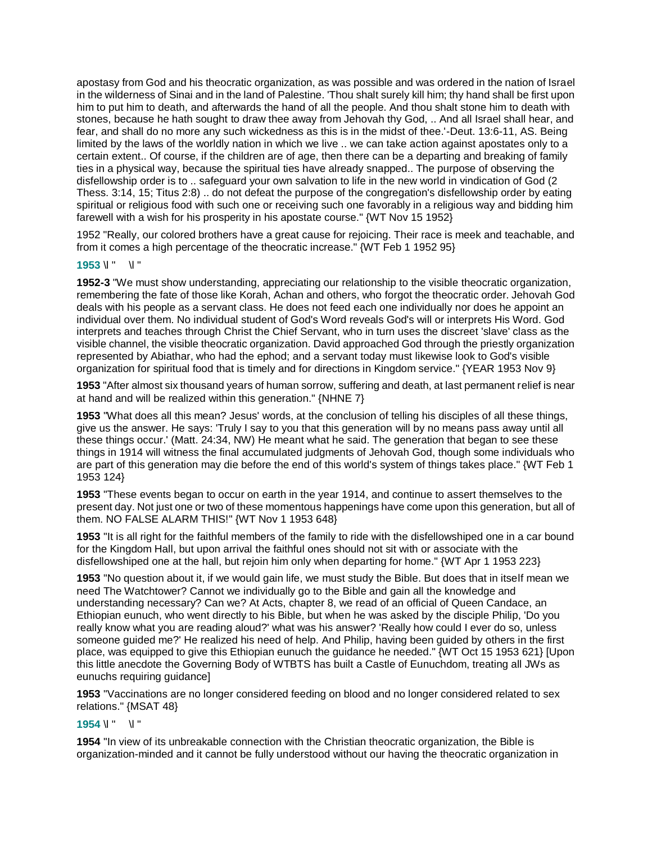apostasy from God and his theocratic organization, as was possible and was ordered in the nation of Israel in the wilderness of Sinai and in the land of Palestine. 'Thou shalt surely kill him; thy hand shall be first upon him to put him to death, and afterwards the hand of all the people. And thou shalt stone him to death with stones, because he hath sought to draw thee away from Jehovah thy God, .. And all Israel shall hear, and fear, and shall do no more any such wickedness as this is in the midst of thee.'-Deut. 13:6-11, AS. Being limited by the laws of the worldly nation in which we live .. we can take action against apostates only to a certain extent.. Of course, if the children are of age, then there can be a departing and breaking of family ties in a physical way, because the spiritual ties have already snapped.. The purpose of observing the disfellowship order is to .. safeguard your own salvation to life in the new world in vindication of God (2 Thess. 3:14, 15; Titus 2:8) .. do not defeat the purpose of the congregation's disfellowship order by eating spiritual or religious food with such one or receiving such one favorably in a religious way and bidding him farewell with a wish for his prosperity in his apostate course." {WT Nov 15 1952}

1952 "Really, our colored brothers have a great cause for rejoicing. Their race is meek and teachable, and from it comes a high percentage of the theocratic increase." {WT Feb 1 1952 95}

### **1953** \l " \l "

**1952-3** "We must show understanding, appreciating our relationship to the visible theocratic organization, remembering the fate of those like Korah, Achan and others, who forgot the theocratic order. Jehovah God deals with his people as a servant class. He does not feed each one individually nor does he appoint an individual over them. No individual student of God's Word reveals God's will or interprets His Word. God interprets and teaches through Christ the Chief Servant, who in turn uses the discreet 'slave' class as the visible channel, the visible theocratic organization. David approached God through the priestly organization represented by Abiathar, who had the ephod; and a servant today must likewise look to God's visible organization for spiritual food that is timely and for directions in Kingdom service." {YEAR 1953 Nov 9}

**1953** "After almost six thousand years of human sorrow, suffering and death, at last permanent relief is near at hand and will be realized within this generation." {NHNE 7}

**1953** "What does all this mean? Jesus' words, at the conclusion of telling his disciples of all these things, give us the answer. He says: 'Truly I say to you that this generation will by no means pass away until all these things occur.' (Matt. 24:34, NW) He meant what he said. The generation that began to see these things in 1914 will witness the final accumulated judgments of Jehovah God, though some individuals who are part of this generation may die before the end of this world's system of things takes place." {WT Feb 1 1953 124}

**1953** "These events began to occur on earth in the year 1914, and continue to assert themselves to the present day. Not just one or two of these momentous happenings have come upon this generation, but all of them. NO FALSE ALARM THIS!" {WT Nov 1 1953 648}

**1953** "It is all right for the faithful members of the family to ride with the disfellowshiped one in a car bound for the Kingdom Hall, but upon arrival the faithful ones should not sit with or associate with the disfellowshiped one at the hall, but rejoin him only when departing for home." {WT Apr 1 1953 223}

**1953** "No question about it, if we would gain life, we must study the Bible. But does that in itself mean we need The Watchtower? Cannot we individually go to the Bible and gain all the knowledge and understanding necessary? Can we? At Acts, chapter 8, we read of an official of Queen Candace, an Ethiopian eunuch, who went directly to his Bible, but when he was asked by the disciple Philip, 'Do you really know what you are reading aloud?' what was his answer? 'Really how could I ever do so, unless someone guided me?' He realized his need of help. And Philip, having been guided by others in the first place, was equipped to give this Ethiopian eunuch the guidance he needed." {WT Oct 15 1953 621} [Upon this little anecdote the Governing Body of WTBTS has built a Castle of Eunuchdom, treating all JWs as eunuchs requiring guidance]

**1953** "Vaccinations are no longer considered feeding on blood and no longer considered related to sex relations." {MSAT 48}

#### **1954** \l " \l "

**1954** "In view of its unbreakable connection with the Christian theocratic organization, the Bible is organization-minded and it cannot be fully understood without our having the theocratic organization in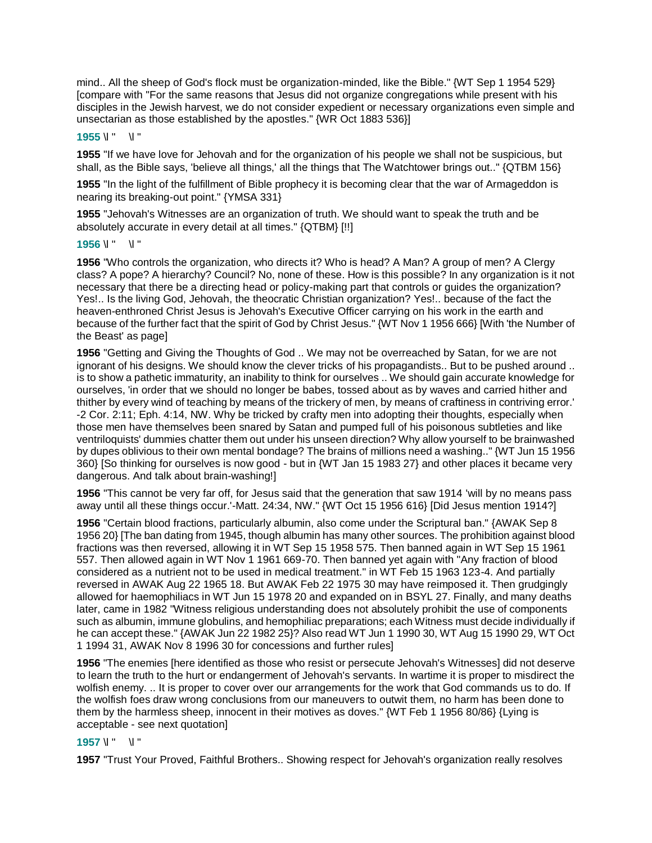mind.. All the sheep of God's flock must be organization-minded, like the Bible." {WT Sep 1 1954 529} [compare with "For the same reasons that Jesus did not organize congregations while present with his disciples in the Jewish harvest, we do not consider expedient or necessary organizations even simple and unsectarian as those established by the apostles." {WR Oct 1883 536}]

#### **1955** \l " \l "

**1955** "If we have love for Jehovah and for the organization of his people we shall not be suspicious, but shall, as the Bible says, 'believe all things,' all the things that The Watchtower brings out.." {QTBM 156}

**1955** "In the light of the fulfillment of Bible prophecy it is becoming clear that the war of Armageddon is nearing its breaking-out point." {YMSA 331}

**1955** "Jehovah's Witnesses are an organization of truth. We should want to speak the truth and be absolutely accurate in every detail at all times." {QTBM} [!!]

#### **1956** \l " \l "

**1956** "Who controls the organization, who directs it? Who is head? A Man? A group of men? A Clergy class? A pope? A hierarchy? Council? No, none of these. How is this possible? In any organization is it not necessary that there be a directing head or policy-making part that controls or guides the organization? Yes!.. Is the living God, Jehovah, the theocratic Christian organization? Yes!.. because of the fact the heaven-enthroned Christ Jesus is Jehovah's Executive Officer carrying on his work in the earth and because of the further fact that the spirit of God by Christ Jesus." {WT Nov 1 1956 666} [With 'the Number of the Beast' as page]

**1956** "Getting and Giving the Thoughts of God .. We may not be overreached by Satan, for we are not ignorant of his designs. We should know the clever tricks of his propagandists.. But to be pushed around .. is to show a pathetic immaturity, an inability to think for ourselves .. We should gain accurate knowledge for ourselves, 'in order that we should no longer be babes, tossed about as by waves and carried hither and thither by every wind of teaching by means of the trickery of men, by means of craftiness in contriving error.' -2 Cor. 2:11; Eph. 4:14, NW. Why be tricked by crafty men into adopting their thoughts, especially when those men have themselves been snared by Satan and pumped full of his poisonous subtleties and like ventriloquists' dummies chatter them out under his unseen direction? Why allow yourself to be brainwashed by dupes oblivious to their own mental bondage? The brains of millions need a washing.." {WT Jun 15 1956 360} [So thinking for ourselves is now good - but in {WT Jan 15 1983 27} and other places it became very dangerous. And talk about brain-washing!]

**1956** "This cannot be very far off, for Jesus said that the generation that saw 1914 'will by no means pass away until all these things occur.'-Matt. 24:34, NW." {WT Oct 15 1956 616} [Did Jesus mention 1914?]

**1956** "Certain blood fractions, particularly albumin, also come under the Scriptural ban." {AWAK Sep 8 1956 20} [The ban dating from 1945, though albumin has many other sources. The prohibition against blood fractions was then reversed, allowing it in WT Sep 15 1958 575. Then banned again in WT Sep 15 1961 557. Then allowed again in WT Nov 1 1961 669-70. Then banned yet again with "Any fraction of blood considered as a nutrient not to be used in medical treatment." in WT Feb 15 1963 123-4. And partially reversed in AWAK Aug 22 1965 18. But AWAK Feb 22 1975 30 may have reimposed it. Then grudgingly allowed for haemophiliacs in WT Jun 15 1978 20 and expanded on in BSYL 27. Finally, and many deaths later, came in 1982 "Witness religious understanding does not absolutely prohibit the use of components such as albumin, immune globulins, and hemophiliac preparations; each Witness must decide individually if he can accept these." {AWAK Jun 22 1982 25}? Also read WT Jun 1 1990 30, WT Aug 15 1990 29, WT Oct 1 1994 31, AWAK Nov 8 1996 30 for concessions and further rules]

**1956** "The enemies [here identified as those who resist or persecute Jehovah's Witnesses] did not deserve to learn the truth to the hurt or endangerment of Jehovah's servants. In wartime it is proper to misdirect the wolfish enemy. .. It is proper to cover over our arrangements for the work that God commands us to do. If the wolfish foes draw wrong conclusions from our maneuvers to outwit them, no harm has been done to them by the harmless sheep, innocent in their motives as doves." {WT Feb 1 1956 80/86} {Lying is acceptable - see next quotation]

## **1957** \l " \l "

**1957** "Trust Your Proved, Faithful Brothers.. Showing respect for Jehovah's organization really resolves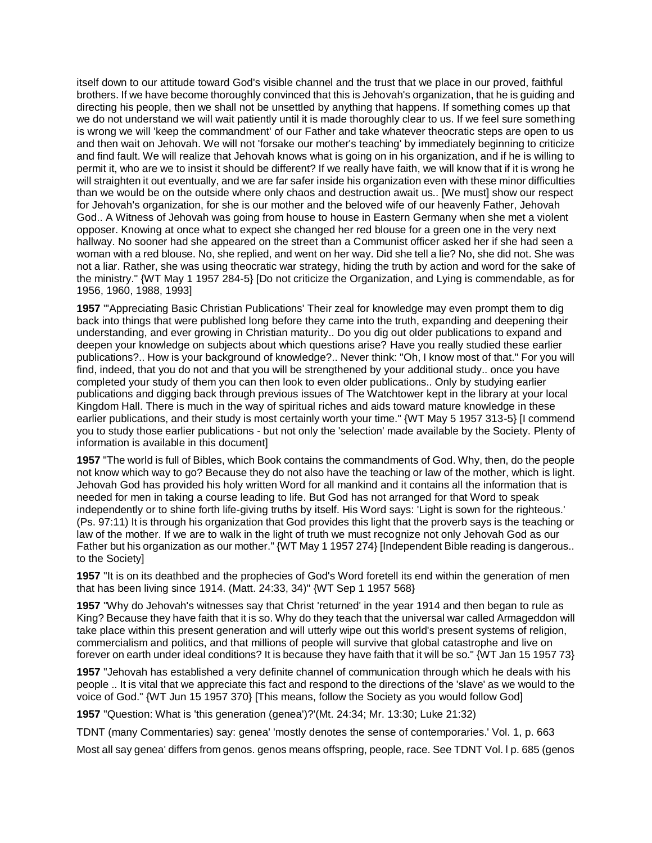itself down to our attitude toward God's visible channel and the trust that we place in our proved, faithful brothers. If we have become thoroughly convinced that this is Jehovah's organization, that he is guiding and directing his people, then we shall not be unsettled by anything that happens. If something comes up that we do not understand we will wait patiently until it is made thoroughly clear to us. If we feel sure something is wrong we will 'keep the commandment' of our Father and take whatever theocratic steps are open to us and then wait on Jehovah. We will not 'forsake our mother's teaching' by immediately beginning to criticize and find fault. We will realize that Jehovah knows what is going on in his organization, and if he is willing to permit it, who are we to insist it should be different? If we really have faith, we will know that if it is wrong he will straighten it out eventually, and we are far safer inside his organization even with these minor difficulties than we would be on the outside where only chaos and destruction await us.. [We must] show our respect for Jehovah's organization, for she is our mother and the beloved wife of our heavenly Father, Jehovah God.. A Witness of Jehovah was going from house to house in Eastern Germany when she met a violent opposer. Knowing at once what to expect she changed her red blouse for a green one in the very next hallway. No sooner had she appeared on the street than a Communist officer asked her if she had seen a woman with a red blouse. No, she replied, and went on her way. Did she tell a lie? No, she did not. She was not a liar. Rather, she was using theocratic war strategy, hiding the truth by action and word for the sake of the ministry." {WT May 1 1957 284-5} [Do not criticize the Organization, and Lying is commendable, as for 1956, 1960, 1988, 1993]

**1957** "'Appreciating Basic Christian Publications' Their zeal for knowledge may even prompt them to dig back into things that were published long before they came into the truth, expanding and deepening their understanding, and ever growing in Christian maturity.. Do you dig out older publications to expand and deepen your knowledge on subjects about which questions arise? Have you really studied these earlier publications?.. How is your background of knowledge?.. Never think: "Oh, I know most of that." For you will find, indeed, that you do not and that you will be strengthened by your additional study.. once you have completed your study of them you can then look to even older publications.. Only by studying earlier publications and digging back through previous issues of The Watchtower kept in the library at your local Kingdom Hall. There is much in the way of spiritual riches and aids toward mature knowledge in these earlier publications, and their study is most certainly worth your time." {WT May 5 1957 313-5} [I commend you to study those earlier publications - but not only the 'selection' made available by the Society. Plenty of information is available in this document]

**1957** "The world is full of Bibles, which Book contains the commandments of God. Why, then, do the people not know which way to go? Because they do not also have the teaching or law of the mother, which is light. Jehovah God has provided his holy written Word for all mankind and it contains all the information that is needed for men in taking a course leading to life. But God has not arranged for that Word to speak independently or to shine forth life-giving truths by itself. His Word says: 'Light is sown for the righteous.' (Ps. 97:11) It is through his organization that God provides this light that the proverb says is the teaching or law of the mother. If we are to walk in the light of truth we must recognize not only Jehovah God as our Father but his organization as our mother." {WT May 1 1957 274} [Independent Bible reading is dangerous.. to the Society]

**1957** "It is on its deathbed and the prophecies of God's Word foretell its end within the generation of men that has been living since 1914. (Matt. 24:33, 34)" {WT Sep 1 1957 568}

**1957** "Why do Jehovah's witnesses say that Christ 'returned' in the year 1914 and then began to rule as King? Because they have faith that it is so. Why do they teach that the universal war called Armageddon will take place within this present generation and will utterly wipe out this world's present systems of religion, commercialism and politics, and that millions of people will survive that global catastrophe and live on forever on earth under ideal conditions? It is because they have faith that it will be so." {WT Jan 15 1957 73}

**1957** "Jehovah has established a very definite channel of communication through which he deals with his people .. It is vital that we appreciate this fact and respond to the directions of the 'slave' as we would to the voice of God." {WT Jun 15 1957 370} [This means, follow the Society as you would follow God]

**1957** "Question: What is 'this generation (genea')?'(Mt. 24:34; Mr. 13:30; Luke 21:32)

TDNT (many Commentaries) say: genea' 'mostly denotes the sense of contemporaries.' Vol. 1, p. 663

Most all say genea' differs from genos. genos means offspring, people, race. See TDNT Vol. l p. 685 (genos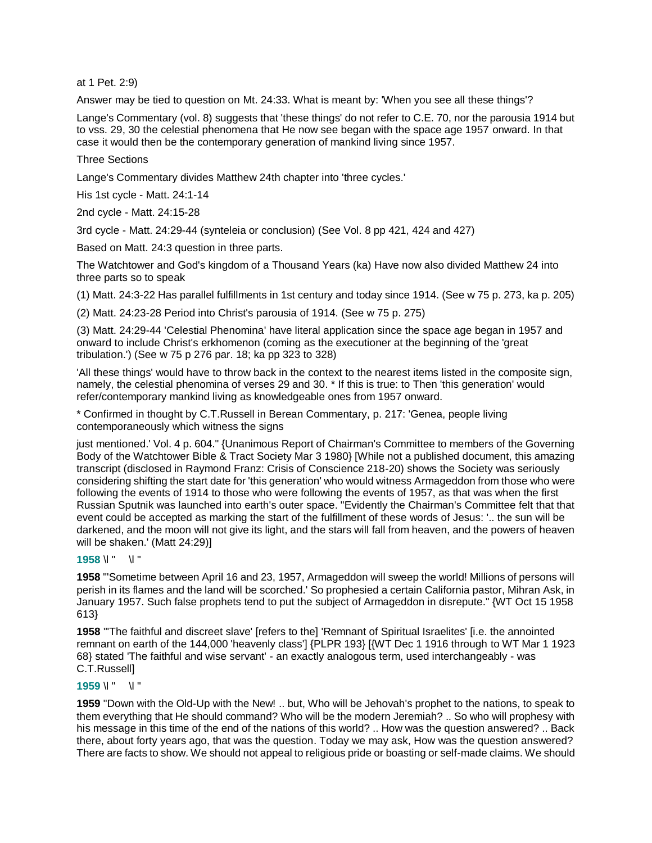at 1 Pet. 2:9)

Answer may be tied to question on Mt. 24:33. What is meant by: 'When you see all these things'?

Lange's Commentary (vol. 8) suggests that 'these things' do not refer to C.E. 70, nor the parousia 1914 but to vss. 29, 30 the celestial phenomena that He now see began with the space age 1957 onward. In that case it would then be the contemporary generation of mankind living since 1957.

Three Sections

Lange's Commentary divides Matthew 24th chapter into 'three cycles.'

His 1st cycle - Matt. 24:1-14

2nd cycle - Matt. 24:15-28

3rd cycle - Matt. 24:29-44 (synteleia or conclusion) (See Vol. 8 pp 421, 424 and 427)

Based on Matt. 24:3 question in three parts.

The Watchtower and God's kingdom of a Thousand Years (ka) Have now also divided Matthew 24 into three parts so to speak

(1) Matt. 24:3-22 Has parallel fulfillments in 1st century and today since 1914. (See w 75 p. 273, ka p. 205)

(2) Matt. 24:23-28 Period into Christ's parousia of 1914. (See w 75 p. 275)

(3) Matt. 24:29-44 'Celestial Phenomina' have literal application since the space age began in 1957 and onward to include Christ's erkhomenon (coming as the executioner at the beginning of the 'great tribulation.') (See w 75 p 276 par. 18; ka pp 323 to 328)

'All these things' would have to throw back in the context to the nearest items listed in the composite sign, namely, the celestial phenomina of verses 29 and 30. \* If this is true: to Then 'this generation' would refer/contemporary mankind living as knowledgeable ones from 1957 onward.

\* Confirmed in thought by C.T.Russell in Berean Commentary, p. 217: 'Genea, people living contemporaneously which witness the signs

just mentioned.' Vol. 4 p. 604." {Unanimous Report of Chairman's Committee to members of the Governing Body of the Watchtower Bible & Tract Society Mar 3 1980} [While not a published document, this amazing transcript (disclosed in Raymond Franz: Crisis of Conscience 218-20) shows the Society was seriously considering shifting the start date for 'this generation' who would witness Armageddon from those who were following the events of 1914 to those who were following the events of 1957, as that was when the first Russian Sputnik was launched into earth's outer space. "Evidently the Chairman's Committee felt that that event could be accepted as marking the start of the fulfillment of these words of Jesus: '.. the sun will be darkened, and the moon will not give its light, and the stars will fall from heaven, and the powers of heaven will be shaken.' (Matt 24:29)]

**1958** \l " \l "

**1958** "'Sometime between April 16 and 23, 1957, Armageddon will sweep the world! Millions of persons will perish in its flames and the land will be scorched.' So prophesied a certain California pastor, Mihran Ask, in January 1957. Such false prophets tend to put the subject of Armageddon in disrepute." {WT Oct 15 1958 613}

**1958** "'The faithful and discreet slave' [refers to the] 'Remnant of Spiritual Israelites' [i.e. the annointed remnant on earth of the 144,000 'heavenly class'] {PLPR 193} [{WT Dec 1 1916 through to WT Mar 1 1923 68} stated 'The faithful and wise servant' - an exactly analogous term, used interchangeably - was C.T.Russell]

# **1959** \l " \l "

**1959** "Down with the Old-Up with the New! .. but, Who will be Jehovah's prophet to the nations, to speak to them everything that He should command? Who will be the modern Jeremiah? .. So who will prophesy with his message in this time of the end of the nations of this world? .. How was the question answered? .. Back there, about forty years ago, that was the question. Today we may ask, How was the question answered? There are facts to show. We should not appeal to religious pride or boasting or self-made claims. We should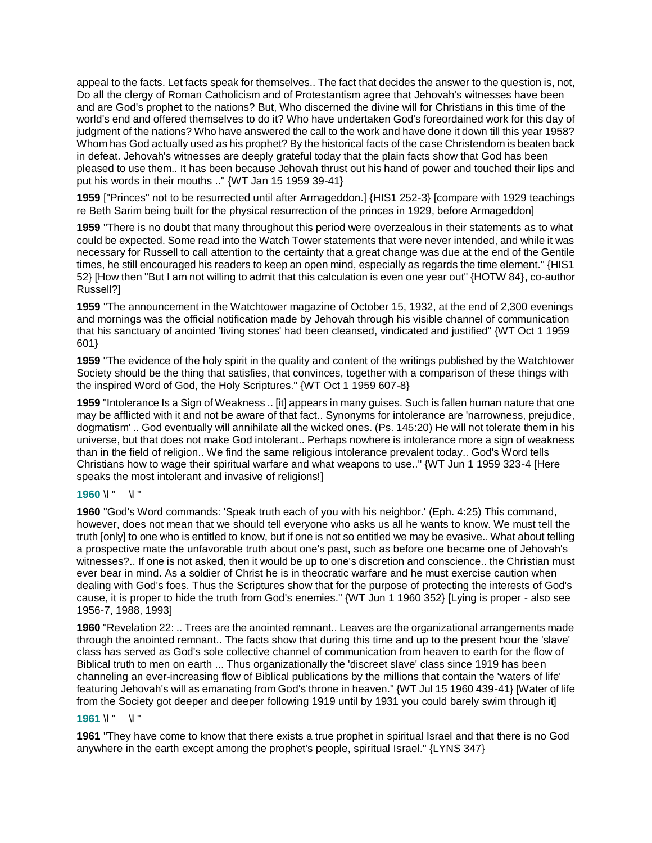appeal to the facts. Let facts speak for themselves.. The fact that decides the answer to the question is, not, Do all the clergy of Roman Catholicism and of Protestantism agree that Jehovah's witnesses have been and are God's prophet to the nations? But, Who discerned the divine will for Christians in this time of the world's end and offered themselves to do it? Who have undertaken God's foreordained work for this day of judgment of the nations? Who have answered the call to the work and have done it down till this year 1958? Whom has God actually used as his prophet? By the historical facts of the case Christendom is beaten back in defeat. Jehovah's witnesses are deeply grateful today that the plain facts show that God has been pleased to use them.. It has been because Jehovah thrust out his hand of power and touched their lips and put his words in their mouths .." {WT Jan 15 1959 39-41}

**1959** ["Princes" not to be resurrected until after Armageddon.] {HIS1 252-3} [compare with 1929 teachings re Beth Sarim being built for the physical resurrection of the princes in 1929, before Armageddon]

**1959** "There is no doubt that many throughout this period were overzealous in their statements as to what could be expected. Some read into the Watch Tower statements that were never intended, and while it was necessary for Russell to call attention to the certainty that a great change was due at the end of the Gentile times, he still encouraged his readers to keep an open mind, especially as regards the time element." {HIS1} 52} [How then "But I am not willing to admit that this calculation is even one year out" {HOTW 84}, co-author Russell?]

**1959** "The announcement in the Watchtower magazine of October 15, 1932, at the end of 2,300 evenings and mornings was the official notification made by Jehovah through his visible channel of communication that his sanctuary of anointed 'living stones' had been cleansed, vindicated and justified" {WT Oct 1 1959 601}

**1959** "The evidence of the holy spirit in the quality and content of the writings published by the Watchtower Society should be the thing that satisfies, that convinces, together with a comparison of these things with the inspired Word of God, the Holy Scriptures." {WT Oct 1 1959 607-8}

**1959** "Intolerance Is a Sign of Weakness .. [it] appears in many guises. Such is fallen human nature that one may be afflicted with it and not be aware of that fact.. Synonyms for intolerance are 'narrowness, prejudice, dogmatism' .. God eventually will annihilate all the wicked ones. (Ps. 145:20) He will not tolerate them in his universe, but that does not make God intolerant.. Perhaps nowhere is intolerance more a sign of weakness than in the field of religion.. We find the same religious intolerance prevalent today.. God's Word tells Christians how to wage their spiritual warfare and what weapons to use.." {WT Jun 1 1959 323-4 [Here speaks the most intolerant and invasive of religions!]

## **1960** \l " \l "

**1960** "God's Word commands: 'Speak truth each of you with his neighbor.' (Eph. 4:25) This command, however, does not mean that we should tell everyone who asks us all he wants to know. We must tell the truth [only] to one who is entitled to know, but if one is not so entitled we may be evasive.. What about telling a prospective mate the unfavorable truth about one's past, such as before one became one of Jehovah's witnesses?.. If one is not asked, then it would be up to one's discretion and conscience.. the Christian must ever bear in mind. As a soldier of Christ he is in theocratic warfare and he must exercise caution when dealing with God's foes. Thus the Scriptures show that for the purpose of protecting the interests of God's cause, it is proper to hide the truth from God's enemies." {WT Jun 1 1960 352} [Lying is proper - also see 1956-7, 1988, 1993]

**1960** "Revelation 22: .. Trees are the anointed remnant.. Leaves are the organizational arrangements made through the anointed remnant.. The facts show that during this time and up to the present hour the 'slave' class has served as God's sole collective channel of communication from heaven to earth for the flow of Biblical truth to men on earth ... Thus organizationally the 'discreet slave' class since 1919 has been channeling an ever-increasing flow of Biblical publications by the millions that contain the 'waters of life' featuring Jehovah's will as emanating from God's throne in heaven." {WT Jul 15 1960 439-41} [Water of life from the Society got deeper and deeper following 1919 until by 1931 you could barely swim through it]

## **1961** \l " \l "

**1961** "They have come to know that there exists a true prophet in spiritual Israel and that there is no God anywhere in the earth except among the prophet's people, spiritual Israel." {LYNS 347}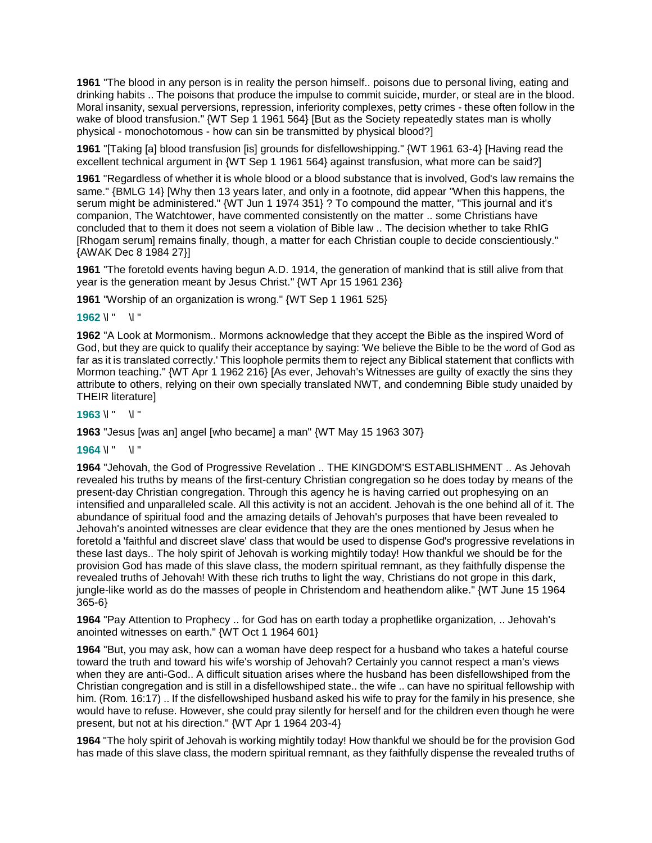**1961** "The blood in any person is in reality the person himself.. poisons due to personal living, eating and drinking habits .. The poisons that produce the impulse to commit suicide, murder, or steal are in the blood. Moral insanity, sexual perversions, repression, inferiority complexes, petty crimes - these often follow in the wake of blood transfusion." {WT Sep 1 1961 564} [But as the Society repeatedly states man is wholly physical - monochotomous - how can sin be transmitted by physical blood?]

**1961** "[Taking [a] blood transfusion [is] grounds for disfellowshipping." {WT 1961 63-4} [Having read the excellent technical argument in {WT Sep 1 1961 564} against transfusion, what more can be said?]

**1961** "Regardless of whether it is whole blood or a blood substance that is involved, God's law remains the same." {BMLG 14} [Why then 13 years later, and only in a footnote, did appear "When this happens, the serum might be administered." {WT Jun 1 1974 351} ? To compound the matter, "This journal and it's companion, The Watchtower, have commented consistently on the matter .. some Christians have concluded that to them it does not seem a violation of Bible law .. The decision whether to take RhIG [Rhogam serum] remains finally, though, a matter for each Christian couple to decide conscientiously." {AWAK Dec 8 1984 27}]

**1961** "The foretold events having begun A.D. 1914, the generation of mankind that is still alive from that year is the generation meant by Jesus Christ." {WT Apr 15 1961 236}

**1961** "Worship of an organization is wrong." {WT Sep 1 1961 525}

**1962** \l " \l "

**1962** "A Look at Mormonism.. Mormons acknowledge that they accept the Bible as the inspired Word of God, but they are quick to qualify their acceptance by saying: 'We believe the Bible to be the word of God as far as it is translated correctly.' This loophole permits them to reject any Biblical statement that conflicts with Mormon teaching." {WT Apr 1 1962 216} [As ever, Jehovah's Witnesses are guilty of exactly the sins they attribute to others, relying on their own specially translated NWT, and condemning Bible study unaided by THEIR literature]

### **1963** \l " \l "

**1963** "Jesus [was an] angel [who became] a man" {WT May 15 1963 307}

#### **1964** \l " \l "

**1964** "Jehovah, the God of Progressive Revelation .. THE KINGDOM'S ESTABLISHMENT .. As Jehovah revealed his truths by means of the first-century Christian congregation so he does today by means of the present-day Christian congregation. Through this agency he is having carried out prophesying on an intensified and unparalleled scale. All this activity is not an accident. Jehovah is the one behind all of it. The abundance of spiritual food and the amazing details of Jehovah's purposes that have been revealed to Jehovah's anointed witnesses are clear evidence that they are the ones mentioned by Jesus when he foretold a 'faithful and discreet slave' class that would be used to dispense God's progressive revelations in these last days.. The holy spirit of Jehovah is working mightily today! How thankful we should be for the provision God has made of this slave class, the modern spiritual remnant, as they faithfully dispense the revealed truths of Jehovah! With these rich truths to light the way, Christians do not grope in this dark, jungle-like world as do the masses of people in Christendom and heathendom alike." {WT June 15 1964 365-6}

**1964** "Pay Attention to Prophecy .. for God has on earth today a prophetlike organization, .. Jehovah's anointed witnesses on earth." {WT Oct 1 1964 601}

**1964** "But, you may ask, how can a woman have deep respect for a husband who takes a hateful course toward the truth and toward his wife's worship of Jehovah? Certainly you cannot respect a man's views when they are anti-God.. A difficult situation arises where the husband has been disfellowshiped from the Christian congregation and is still in a disfellowshiped state.. the wife .. can have no spiritual fellowship with him. (Rom. 16:17) .. If the disfellowshiped husband asked his wife to pray for the family in his presence, she would have to refuse. However, she could pray silently for herself and for the children even though he were present, but not at his direction." {WT Apr 1 1964 203-4}

**1964** "The holy spirit of Jehovah is working mightily today! How thankful we should be for the provision God has made of this slave class, the modern spiritual remnant, as they faithfully dispense the revealed truths of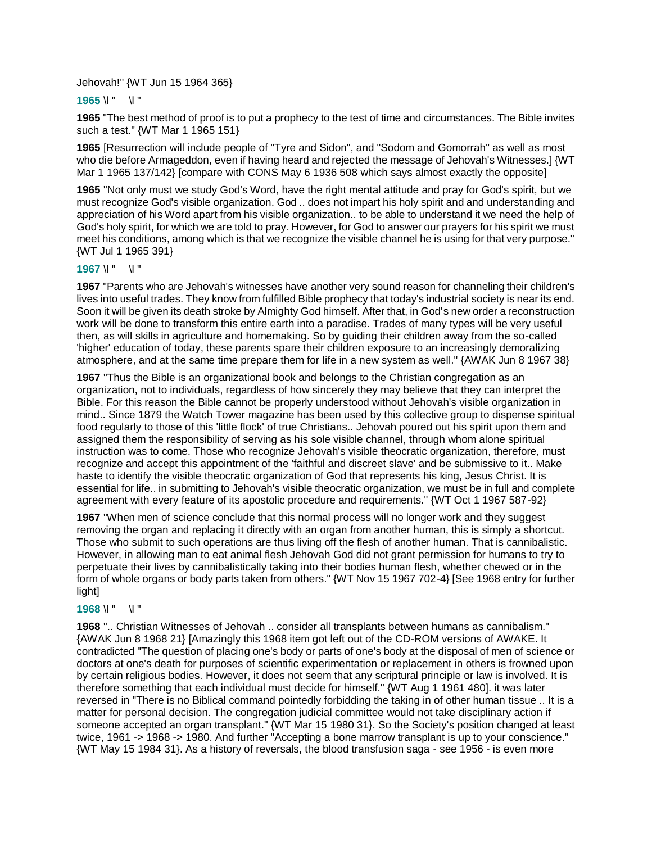#### Jehovah!" {WT Jun 15 1964 365}

#### **1965** \l " \l "

**1965** "The best method of proof is to put a prophecy to the test of time and circumstances. The Bible invites such a test." {WT Mar 1 1965 151}

**1965** [Resurrection will include people of "Tyre and Sidon", and "Sodom and Gomorrah" as well as most who die before Armageddon, even if having heard and rejected the message of Jehovah's Witnesses.] {WT Mar 1 1965 137/142} [compare with CONS May 6 1936 508 which says almost exactly the opposite]

**1965** "Not only must we study God's Word, have the right mental attitude and pray for God's spirit, but we must recognize God's visible organization. God .. does not impart his holy spirit and and understanding and appreciation of his Word apart from his visible organization.. to be able to understand it we need the help of God's holy spirit, for which we are told to pray. However, for God to answer our prayers for his spirit we must meet his conditions, among which is that we recognize the visible channel he is using for that very purpose." {WT Jul 1 1965 391}

#### **1967** \l " \l "

**1967** "Parents who are Jehovah's witnesses have another very sound reason for channeling their children's lives into useful trades. They know from fulfilled Bible prophecy that today's industrial society is near its end. Soon it will be given its death stroke by Almighty God himself. After that, in God's new order a reconstruction work will be done to transform this entire earth into a paradise. Trades of many types will be very useful then, as will skills in agriculture and homemaking. So by guiding their children away from the so-called 'higher' education of today, these parents spare their children exposure to an increasingly demoralizing atmosphere, and at the same time prepare them for life in a new system as well." {AWAK Jun 8 1967 38}

**1967** "Thus the Bible is an organizational book and belongs to the Christian congregation as an organization, not to individuals, regardless of how sincerely they may believe that they can interpret the Bible. For this reason the Bible cannot be properly understood without Jehovah's visible organization in mind.. Since 1879 the Watch Tower magazine has been used by this collective group to dispense spiritual food regularly to those of this 'little flock' of true Christians.. Jehovah poured out his spirit upon them and assigned them the responsibility of serving as his sole visible channel, through whom alone spiritual instruction was to come. Those who recognize Jehovah's visible theocratic organization, therefore, must recognize and accept this appointment of the 'faithful and discreet slave' and be submissive to it.. Make haste to identify the visible theocratic organization of God that represents his king, Jesus Christ. It is essential for life.. in submitting to Jehovah's visible theocratic organization, we must be in full and complete agreement with every feature of its apostolic procedure and requirements." {WT Oct 1 1967 587-92}

**1967** "When men of science conclude that this normal process will no longer work and they suggest removing the organ and replacing it directly with an organ from another human, this is simply a shortcut. Those who submit to such operations are thus living off the flesh of another human. That is cannibalistic. However, in allowing man to eat animal flesh Jehovah God did not grant permission for humans to try to perpetuate their lives by cannibalistically taking into their bodies human flesh, whether chewed or in the form of whole organs or body parts taken from others." {WT Nov 15 1967 702-4} [See 1968 entry for further light]

## **1968** \l " \l "

**1968** ".. Christian Witnesses of Jehovah .. consider all transplants between humans as cannibalism." {AWAK Jun 8 1968 21} [Amazingly this 1968 item got left out of the CD-ROM versions of AWAKE. It contradicted "The question of placing one's body or parts of one's body at the disposal of men of science or doctors at one's death for purposes of scientific experimentation or replacement in others is frowned upon by certain religious bodies. However, it does not seem that any scriptural principle or law is involved. It is therefore something that each individual must decide for himself." {WT Aug 1 1961 480]. it was later reversed in "There is no Biblical command pointedly forbidding the taking in of other human tissue .. It is a matter for personal decision. The congregation judicial committee would not take disciplinary action if someone accepted an organ transplant." {WT Mar 15 1980 31}. So the Society's position changed at least twice, 1961 -> 1968 -> 1980. And further "Accepting a bone marrow transplant is up to your conscience." {WT May 15 1984 31}. As a history of reversals, the blood transfusion saga - see 1956 - is even more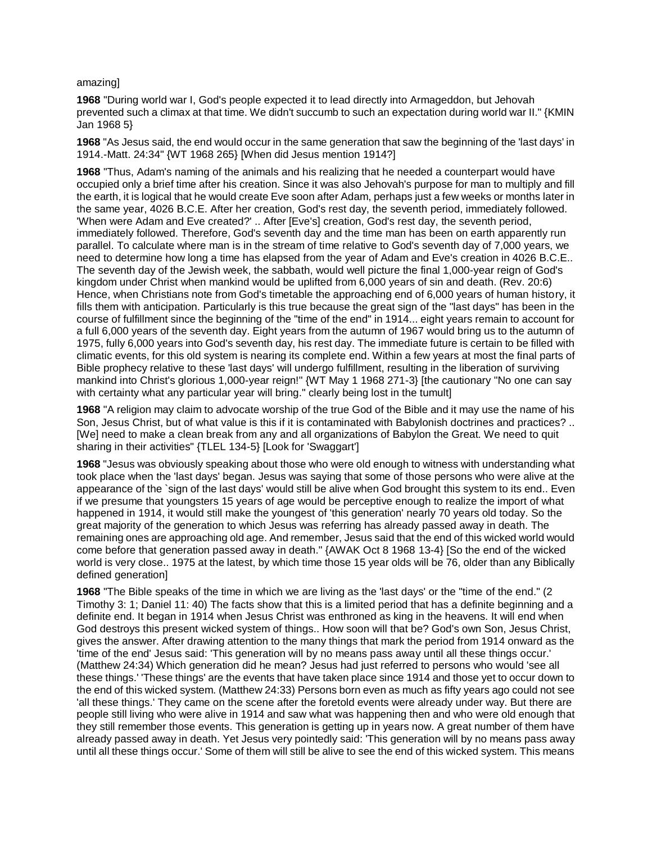#### amazing]

**1968** "During world war I, God's people expected it to lead directly into Armageddon, but Jehovah prevented such a climax at that time. We didn't succumb to such an expectation during world war II." {KMIN Jan 1968 5}

**1968** "As Jesus said, the end would occur in the same generation that saw the beginning of the 'last days' in 1914.-Matt. 24:34" {WT 1968 265} [When did Jesus mention 1914?]

**1968** "Thus, Adam's naming of the animals and his realizing that he needed a counterpart would have occupied only a brief time after his creation. Since it was also Jehovah's purpose for man to multiply and fill the earth, it is logical that he would create Eve soon after Adam, perhaps just a few weeks or months later in the same year, 4026 B.C.E. After her creation, God's rest day, the seventh period, immediately followed. 'When were Adam and Eve created?' .. After [Eve's] creation, God's rest day, the seventh period, immediately followed. Therefore, God's seventh day and the time man has been on earth apparently run parallel. To calculate where man is in the stream of time relative to God's seventh day of 7,000 years, we need to determine how long a time has elapsed from the year of Adam and Eve's creation in 4026 B.C.E.. The seventh day of the Jewish week, the sabbath, would well picture the final 1,000-year reign of God's kingdom under Christ when mankind would be uplifted from 6,000 years of sin and death. (Rev. 20:6) Hence, when Christians note from God's timetable the approaching end of 6,000 years of human history, it fills them with anticipation. Particularly is this true because the great sign of the "last days" has been in the course of fulfillment since the beginning of the "time of the end" in 1914... eight years remain to account for a full 6,000 years of the seventh day. Eight years from the autumn of 1967 would bring us to the autumn of 1975, fully 6,000 years into God's seventh day, his rest day. The immediate future is certain to be filled with climatic events, for this old system is nearing its complete end. Within a few years at most the final parts of Bible prophecy relative to these 'last days' will undergo fulfillment, resulting in the liberation of surviving mankind into Christ's glorious 1,000-year reign!" {WT May 1 1968 271-3} [the cautionary "No one can say with certainty what any particular year will bring." clearly being lost in the tumult]

**1968** "A religion may claim to advocate worship of the true God of the Bible and it may use the name of his Son, Jesus Christ, but of what value is this if it is contaminated with Babylonish doctrines and practices? .. [We] need to make a clean break from any and all organizations of Babylon the Great. We need to quit sharing in their activities" {TLEL 134-5} [Look for 'Swaggart']

**1968** "Jesus was obviously speaking about those who were old enough to witness with understanding what took place when the 'last days' began. Jesus was saying that some of those persons who were alive at the appearance of the `sign of the last days' would still be alive when God brought this system to its end.. Even if we presume that youngsters 15 years of age would be perceptive enough to realize the import of what happened in 1914, it would still make the youngest of 'this generation' nearly 70 years old today. So the great majority of the generation to which Jesus was referring has already passed away in death. The remaining ones are approaching old age. And remember, Jesus said that the end of this wicked world would come before that generation passed away in death." {AWAK Oct 8 1968 13-4} [So the end of the wicked world is very close.. 1975 at the latest, by which time those 15 year olds will be 76, older than any Biblically defined generation]

**1968** "The Bible speaks of the time in which we are living as the 'last days' or the "time of the end." (2 Timothy 3: 1; Daniel 11: 40) The facts show that this is a limited period that has a definite beginning and a definite end. It began in 1914 when Jesus Christ was enthroned as king in the heavens. It will end when God destroys this present wicked system of things.. How soon will that be? God's own Son, Jesus Christ, gives the answer. After drawing attention to the many things that mark the period from 1914 onward as the 'time of the end' Jesus said: 'This generation will by no means pass away until all these things occur.' (Matthew 24:34) Which generation did he mean? Jesus had just referred to persons who would 'see all these things.' 'These things' are the events that have taken place since 1914 and those yet to occur down to the end of this wicked system. (Matthew 24:33) Persons born even as much as fifty years ago could not see 'all these things.' They came on the scene after the foretold events were already under way. But there are people still living who were alive in 1914 and saw what was happening then and who were old enough that they still remember those events. This generation is getting up in years now. A great number of them have already passed away in death. Yet Jesus very pointedly said: 'This generation will by no means pass away until all these things occur.' Some of them will still be alive to see the end of this wicked system. This means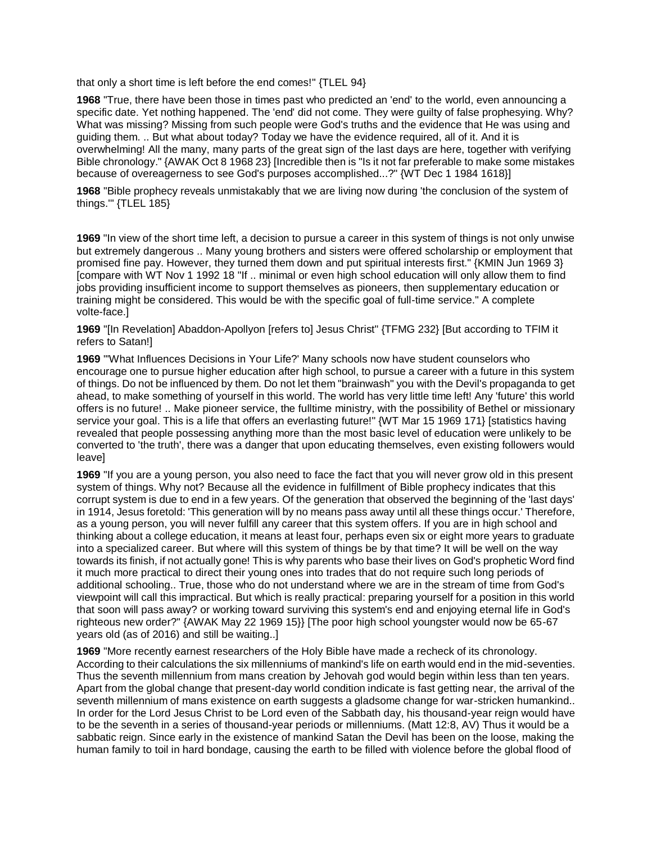that only a short time is left before the end comes!" {TLEL 94}

**1968** "True, there have been those in times past who predicted an 'end' to the world, even announcing a specific date. Yet nothing happened. The 'end' did not come. They were guilty of false prophesying. Why? What was missing? Missing from such people were God's truths and the evidence that He was using and guiding them. .. But what about today? Today we have the evidence required, all of it. And it is overwhelming! All the many, many parts of the great sign of the last days are here, together with verifying Bible chronology." {AWAK Oct 8 1968 23} [Incredible then is "Is it not far preferable to make some mistakes because of overeagerness to see God's purposes accomplished...?" {WT Dec 1 1984 1618}]

**1968** "Bible prophecy reveals unmistakably that we are living now during 'the conclusion of the system of things.'" {TLEL 185}

**1969** "In view of the short time left, a decision to pursue a career in this system of things is not only unwise but extremely dangerous .. Many young brothers and sisters were offered scholarship or employment that promised fine pay. However, they turned them down and put spiritual interests first." {KMIN Jun 1969 3} [compare with WT Nov 1 1992 18 "If .. minimal or even high school education will only allow them to find jobs providing insufficient income to support themselves as pioneers, then supplementary education or training might be considered. This would be with the specific goal of full-time service." A complete volte-face.]

**1969** "[In Revelation] Abaddon-Apollyon [refers to] Jesus Christ" {TFMG 232} [But according to TFIM it refers to Satan!]

**1969** "'What Influences Decisions in Your Life?' Many schools now have student counselors who encourage one to pursue higher education after high school, to pursue a career with a future in this system of things. Do not be influenced by them. Do not let them "brainwash" you with the Devil's propaganda to get ahead, to make something of yourself in this world. The world has very little time left! Any 'future' this world offers is no future! .. Make pioneer service, the fulltime ministry, with the possibility of Bethel or missionary service your goal. This is a life that offers an everlasting future!" {WT Mar 15 1969 171} [statistics having revealed that people possessing anything more than the most basic level of education were unlikely to be converted to 'the truth', there was a danger that upon educating themselves, even existing followers would leave]

**1969** "If you are a young person, you also need to face the fact that you will never grow old in this present system of things. Why not? Because all the evidence in fulfillment of Bible prophecy indicates that this corrupt system is due to end in a few years. Of the generation that observed the beginning of the 'last days' in 1914, Jesus foretold: 'This generation will by no means pass away until all these things occur.' Therefore, as a young person, you will never fulfill any career that this system offers. If you are in high school and thinking about a college education, it means at least four, perhaps even six or eight more years to graduate into a specialized career. But where will this system of things be by that time? It will be well on the way towards its finish, if not actually gone! This is why parents who base their lives on God's prophetic Word find it much more practical to direct their young ones into trades that do not require such long periods of additional schooling.. True, those who do not understand where we are in the stream of time from God's viewpoint will call this impractical. But which is really practical: preparing yourself for a position in this world that soon will pass away? or working toward surviving this system's end and enjoying eternal life in God's righteous new order?" {AWAK May 22 1969 15}} [The poor high school youngster would now be 65-67 years old (as of 2016) and still be waiting..]

**1969** "More recently earnest researchers of the Holy Bible have made a recheck of its chronology. According to their calculations the six millenniums of mankind's life on earth would end in the mid-seventies. Thus the seventh millennium from mans creation by Jehovah god would begin within less than ten years. Apart from the global change that present-day world condition indicate is fast getting near, the arrival of the seventh millennium of mans existence on earth suggests a gladsome change for war-stricken humankind.. In order for the Lord Jesus Christ to be Lord even of the Sabbath day, his thousand-year reign would have to be the seventh in a series of thousand-year periods or millenniums. (Matt 12:8, AV) Thus it would be a sabbatic reign. Since early in the existence of mankind Satan the Devil has been on the loose, making the human family to toil in hard bondage, causing the earth to be filled with violence before the global flood of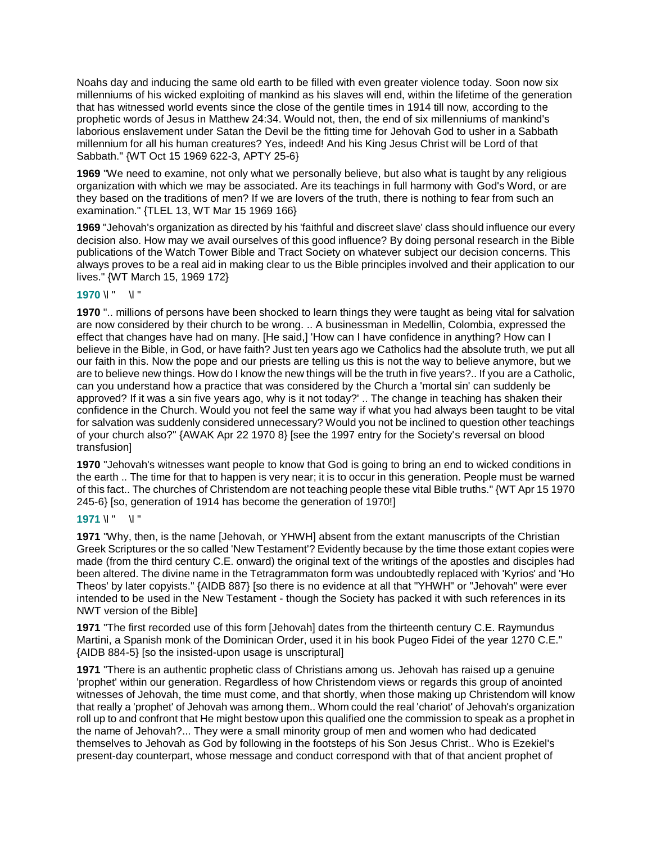Noahs day and inducing the same old earth to be filled with even greater violence today. Soon now six millenniums of his wicked exploiting of mankind as his slaves will end, within the lifetime of the generation that has witnessed world events since the close of the gentile times in 1914 till now, according to the prophetic words of Jesus in Matthew 24:34. Would not, then, the end of six millenniums of mankind's laborious enslavement under Satan the Devil be the fitting time for Jehovah God to usher in a Sabbath millennium for all his human creatures? Yes, indeed! And his King Jesus Christ will be Lord of that Sabbath." {WT Oct 15 1969 622-3, APTY 25-6}

**1969** "We need to examine, not only what we personally believe, but also what is taught by any religious organization with which we may be associated. Are its teachings in full harmony with God's Word, or are they based on the traditions of men? If we are lovers of the truth, there is nothing to fear from such an examination." {TLEL 13, WT Mar 15 1969 166}

**1969** "Jehovah's organization as directed by his 'faithful and discreet slave' class should influence our every decision also. How may we avail ourselves of this good influence? By doing personal research in the Bible publications of the Watch Tower Bible and Tract Society on whatever subject our decision concerns. This always proves to be a real aid in making clear to us the Bible principles involved and their application to our lives." {WT March 15, 1969 172}

## **1970** \l " \l "

**1970** ".. millions of persons have been shocked to learn things they were taught as being vital for salvation are now considered by their church to be wrong. .. A businessman in Medellin, Colombia, expressed the effect that changes have had on many. [He said,] 'How can I have confidence in anything? How can I believe in the Bible, in God, or have faith? Just ten years ago we Catholics had the absolute truth, we put all our faith in this. Now the pope and our priests are telling us this is not the way to believe anymore, but we are to believe new things. How do I know the new things will be the truth in five years?.. If you are a Catholic, can you understand how a practice that was considered by the Church a 'mortal sin' can suddenly be approved? If it was a sin five years ago, why is it not today?' .. The change in teaching has shaken their confidence in the Church. Would you not feel the same way if what you had always been taught to be vital for salvation was suddenly considered unnecessary? Would you not be inclined to question other teachings of your church also?" {AWAK Apr 22 1970 8} [see the 1997 entry for the Society's reversal on blood transfusion]

**1970** "Jehovah's witnesses want people to know that God is going to bring an end to wicked conditions in the earth .. The time for that to happen is very near; it is to occur in this generation. People must be warned of this fact.. The churches of Christendom are not teaching people these vital Bible truths." {WT Apr 15 1970 245-6} [so, generation of 1914 has become the generation of 1970!]

## **1971** \l " \l "

**1971** "Why, then, is the name [Jehovah, or YHWH] absent from the extant manuscripts of the Christian Greek Scriptures or the so called 'New Testament'? Evidently because by the time those extant copies were made (from the third century C.E. onward) the original text of the writings of the apostles and disciples had been altered. The divine name in the Tetragrammaton form was undoubtedly replaced with 'Kyrios' and 'Ho Theos' by later copyists." {AIDB 887} [so there is no evidence at all that "YHWH" or "Jehovah" were ever intended to be used in the New Testament - though the Society has packed it with such references in its NWT version of the Bible]

**1971** "The first recorded use of this form [Jehovah] dates from the thirteenth century C.E. Raymundus Martini, a Spanish monk of the Dominican Order, used it in his book Pugeo Fidei of the year 1270 C.E." {AIDB 884-5} [so the insisted-upon usage is unscriptural]

**1971** "There is an authentic prophetic class of Christians among us. Jehovah has raised up a genuine 'prophet' within our generation. Regardless of how Christendom views or regards this group of anointed witnesses of Jehovah, the time must come, and that shortly, when those making up Christendom will know that really a 'prophet' of Jehovah was among them.. Whom could the real 'chariot' of Jehovah's organization roll up to and confront that He might bestow upon this qualified one the commission to speak as a prophet in the name of Jehovah?... They were a small minority group of men and women who had dedicated themselves to Jehovah as God by following in the footsteps of his Son Jesus Christ.. Who is Ezekiel's present-day counterpart, whose message and conduct correspond with that of that ancient prophet of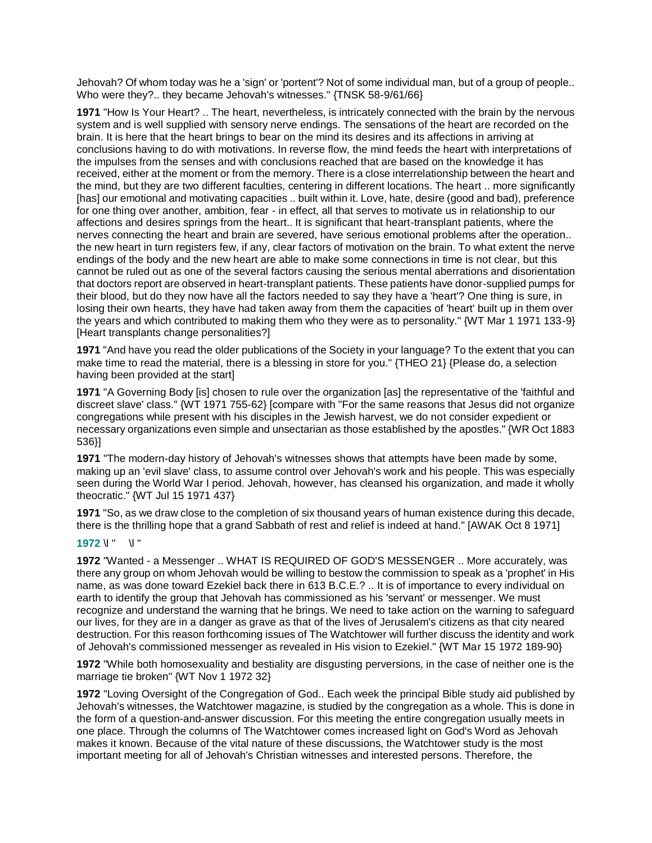Jehovah? Of whom today was he a 'sign' or 'portent'? Not of some individual man, but of a group of people.. Who were they?.. they became Jehovah's witnesses." {TNSK 58-9/61/66}

**1971** "How Is Your Heart? .. The heart, nevertheless, is intricately connected with the brain by the nervous system and is well supplied with sensory nerve endings. The sensations of the heart are recorded on the brain. It is here that the heart brings to bear on the mind its desires and its affections in arriving at conclusions having to do with motivations. In reverse flow, the mind feeds the heart with interpretations of the impulses from the senses and with conclusions reached that are based on the knowledge it has received, either at the moment or from the memory. There is a close interrelationship between the heart and the mind, but they are two different faculties, centering in different locations. The heart .. more significantly [has] our emotional and motivating capacities .. built within it. Love, hate, desire (good and bad), preference for one thing over another, ambition, fear - in effect, all that serves to motivate us in relationship to our affections and desires springs from the heart.. It is significant that heart-transplant patients, where the nerves connecting the heart and brain are severed, have serious emotional problems after the operation.. the new heart in turn registers few, if any, clear factors of motivation on the brain. To what extent the nerve endings of the body and the new heart are able to make some connections in time is not clear, but this cannot be ruled out as one of the several factors causing the serious mental aberrations and disorientation that doctors report are observed in heart-transplant patients. These patients have donor-supplied pumps for their blood, but do they now have all the factors needed to say they have a 'heart'? One thing is sure, in losing their own hearts, they have had taken away from them the capacities of 'heart' built up in them over the years and which contributed to making them who they were as to personality." {WT Mar 1 1971 133-9} [Heart transplants change personalities?]

**1971** "And have you read the older publications of the Society in your language? To the extent that you can make time to read the material, there is a blessing in store for you." {THEO 21} {Please do, a selection having been provided at the start]

**1971** "A Governing Body [is] chosen to rule over the organization [as] the representative of the 'faithful and discreet slave' class." {WT 1971 755-62} [compare with "For the same reasons that Jesus did not organize congregations while present with his disciples in the Jewish harvest, we do not consider expedient or necessary organizations even simple and unsectarian as those established by the apostles." {WR Oct 1883 536}]

**1971** "The modern-day history of Jehovah's witnesses shows that attempts have been made by some, making up an 'evil slave' class, to assume control over Jehovah's work and his people. This was especially seen during the World War I period. Jehovah, however, has cleansed his organization, and made it wholly theocratic." {WT Jul 15 1971 437}

**1971** "So, as we draw close to the completion of six thousand years of human existence during this decade, there is the thrilling hope that a grand Sabbath of rest and relief is indeed at hand." [AWAK Oct 8 1971]

#### **1972** \l " \l "

**1972** "Wanted - a Messenger .. WHAT IS REQUIRED OF GOD'S MESSENGER .. More accurately, was there any group on whom Jehovah would be willing to bestow the commission to speak as a 'prophet' in His name, as was done toward Ezekiel back there in 613 B.C.E.? .. It is of importance to every individual on earth to identify the group that Jehovah has commissioned as his 'servant' or messenger. We must recognize and understand the warning that he brings. We need to take action on the warning to safeguard our lives, for they are in a danger as grave as that of the lives of Jerusalem's citizens as that city neared destruction. For this reason forthcoming issues of The Watchtower will further discuss the identity and work of Jehovah's commissioned messenger as revealed in His vision to Ezekiel." {WT Mar 15 1972 189-90}

**1972** "While both homosexuality and bestiality are disgusting perversions, in the case of neither one is the marriage tie broken" {WT Nov 1 1972 32}

**1972** "Loving Oversight of the Congregation of God.. Each week the principal Bible study aid published by Jehovah's witnesses, the Watchtower magazine, is studied by the congregation as a whole. This is done in the form of a question-and-answer discussion. For this meeting the entire congregation usually meets in one place. Through the columns of The Watchtower comes increased light on God's Word as Jehovah makes it known. Because of the vital nature of these discussions, the Watchtower study is the most important meeting for all of Jehovah's Christian witnesses and interested persons. Therefore, the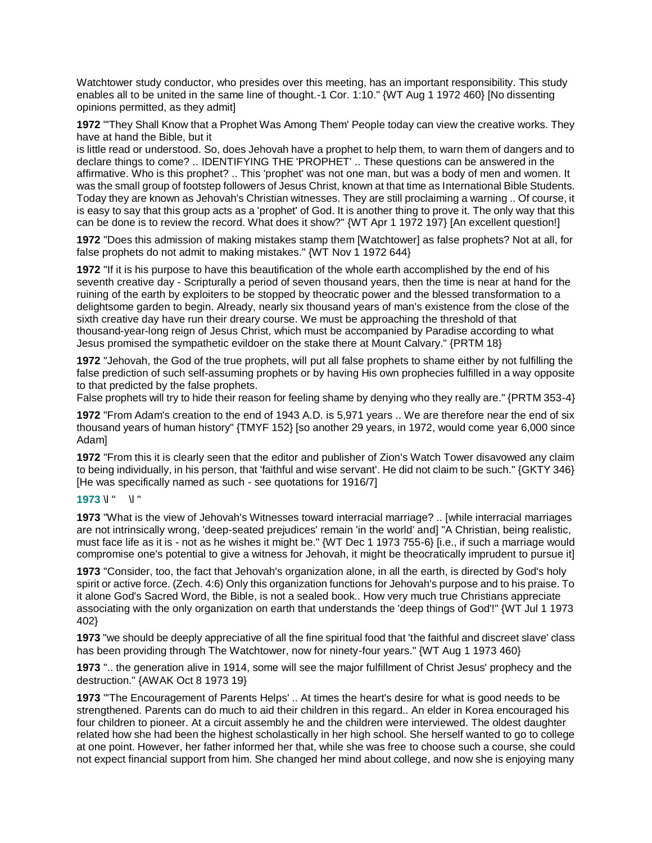Watchtower study conductor, who presides over this meeting, has an important responsibility. This study enables all to be united in the same line of thought.-1 Cor. 1:10." {WT Aug 1 1972 460} [No dissenting opinions permitted, as they admit]

**1972** "'They Shall Know that a Prophet Was Among Them' People today can view the creative works. They have at hand the Bible, but it

is little read or understood. So, does Jehovah have a prophet to help them, to warn them of dangers and to declare things to come? .. IDENTIFYING THE 'PROPHET' .. These questions can be answered in the affirmative. Who is this prophet? .. This 'prophet' was not one man, but was a body of men and women. It was the small group of footstep followers of Jesus Christ, known at that time as International Bible Students. Today they are known as Jehovah's Christian witnesses. They are still proclaiming a warning .. Of course, it is easy to say that this group acts as a 'prophet' of God. It is another thing to prove it. The only way that this can be done is to review the record. What does it show?" {WT Apr 1 1972 197} [An excellent question!]

**1972** "Does this admission of making mistakes stamp them [Watchtower] as false prophets? Not at all, for false prophets do not admit to making mistakes." {WT Nov 1 1972 644}

**1972** "If it is his purpose to have this beautification of the whole earth accomplished by the end of his seventh creative day - Scripturally a period of seven thousand years, then the time is near at hand for the ruining of the earth by exploiters to be stopped by theocratic power and the blessed transformation to a delightsome garden to begin. Already, nearly six thousand years of man's existence from the close of the sixth creative day have run their dreary course. We must be approaching the threshold of that thousand-year-long reign of Jesus Christ, which must be accompanied by Paradise according to what Jesus promised the sympathetic evildoer on the stake there at Mount Calvary." {PRTM 18}

**1972** "Jehovah, the God of the true prophets, will put all false prophets to shame either by not fulfilling the false prediction of such self-assuming prophets or by having His own prophecies fulfilled in a way opposite to that predicted by the false prophets.

False prophets will try to hide their reason for feeling shame by denying who they really are." {PRTM 353-4}

**1972** "From Adam's creation to the end of 1943 A.D. is 5,971 years .. We are therefore near the end of six thousand years of human history" {TMYF 152} [so another 29 years, in 1972, would come year 6,000 since Adam]

**1972** "From this it is clearly seen that the editor and publisher of Zion's Watch Tower disavowed any claim to being individually, in his person, that 'faithful and wise servant'. He did not claim to be such." {GKTY 346} [He was specifically named as such - see quotations for 1916/7]

## **1973** \l " \l "

**1973** "What is the view of Jehovah's Witnesses toward interracial marriage? .. [while interracial marriages are not intrinsically wrong, 'deep-seated prejudices' remain 'in the world' and] "A Christian, being realistic, must face life as it is - not as he wishes it might be." {WT Dec 1 1973 755-6} [i.e., if such a marriage would compromise one's potential to give a witness for Jehovah, it might be theocratically imprudent to pursue it]

**1973** "Consider, too, the fact that Jehovah's organization alone, in all the earth, is directed by God's holy spirit or active force. (Zech. 4:6) Only this organization functions for Jehovah's purpose and to his praise. To it alone God's Sacred Word, the Bible, is not a sealed book.. How very much true Christians appreciate associating with the only organization on earth that understands the 'deep things of God'!" {WT Jul 1 1973 402}

**1973** "we should be deeply appreciative of all the fine spiritual food that 'the faithful and discreet slave' class has been providing through The Watchtower, now for ninety-four years." {WT Aug 1 1973 460}

**1973** ".. the generation alive in 1914, some will see the major fulfillment of Christ Jesus' prophecy and the destruction." {AWAK Oct 8 1973 19}

**1973** "'The Encouragement of Parents Helps' .. At times the heart's desire for what is good needs to be strengthened. Parents can do much to aid their children in this regard.. An elder in Korea encouraged his four children to pioneer. At a circuit assembly he and the children were interviewed. The oldest daughter related how she had been the highest scholastically in her high school. She herself wanted to go to college at one point. However, her father informed her that, while she was free to choose such a course, she could not expect financial support from him. She changed her mind about college, and now she is enjoying many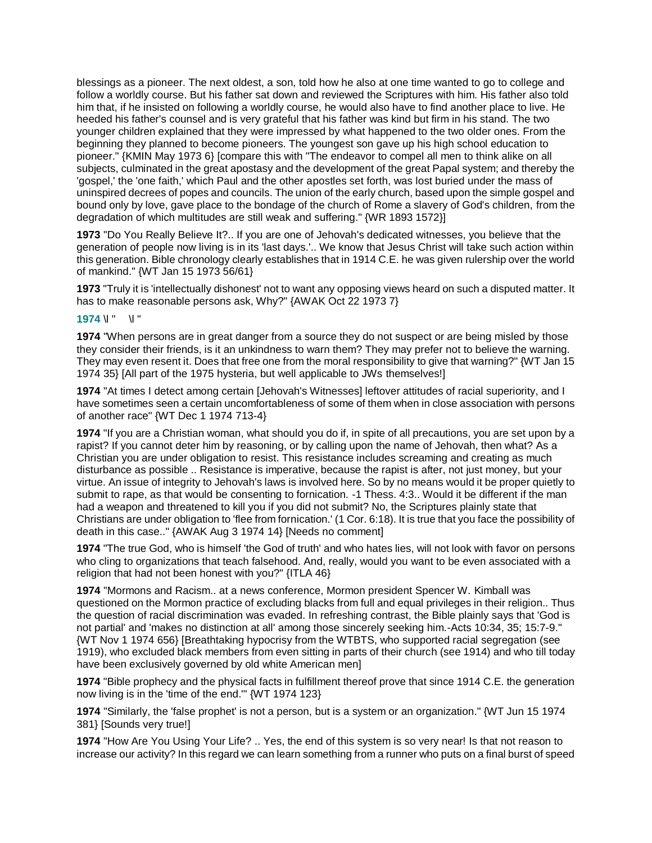blessings as a pioneer. The next oldest, a son, told how he also at one time wanted to go to college and follow a worldly course. But his father sat down and reviewed the Scriptures with him. His father also told him that, if he insisted on following a worldly course, he would also have to find another place to live. He heeded his father's counsel and is very grateful that his father was kind but firm in his stand. The two younger children explained that they were impressed by what happened to the two older ones. From the beginning they planned to become pioneers. The youngest son gave up his high school education to pioneer." {KMIN May 1973 6} [compare this with "The endeavor to compel all men to think alike on all subjects, culminated in the great apostasy and the development of the great Papal system; and thereby the 'gospel,' the 'one faith,' which Paul and the other apostles set forth, was lost buried under the mass of uninspired decrees of popes and councils. The union of the early church, based upon the simple gospel and bound only by love, gave place to the bondage of the church of Rome a slavery of God's children, from the degradation of which multitudes are still weak and suffering." {WR 1893 1572}]

**1973** "Do You Really Believe It?.. If you are one of Jehovah's dedicated witnesses, you believe that the generation of people now living is in its 'last days.'.. We know that Jesus Christ will take such action within this generation. Bible chronology clearly establishes that in 1914 C.E. he was given rulership over the world of mankind." {WT Jan 15 1973 56/61}

**1973** "Truly it is 'intellectually dishonest' not to want any opposing views heard on such a disputed matter. It has to make reasonable persons ask, Why?" {AWAK Oct 22 1973 7}

## **1974** \l " \l "

**1974** "When persons are in great danger from a source they do not suspect or are being misled by those they consider their friends, is it an unkindness to warn them? They may prefer not to believe the warning. They may even resent it. Does that free one from the moral responsibility to give that warning?" {WT Jan 15 1974 35} [All part of the 1975 hysteria, but well applicable to JWs themselves!]

**1974** "At times I detect among certain [Jehovah's Witnesses] leftover attitudes of racial superiority, and I have sometimes seen a certain uncomfortableness of some of them when in close association with persons of another race" {WT Dec 1 1974 713-4}

**1974** "If you are a Christian woman, what should you do if, in spite of all precautions, you are set upon by a rapist? If you cannot deter him by reasoning, or by calling upon the name of Jehovah, then what? As a Christian you are under obligation to resist. This resistance includes screaming and creating as much disturbance as possible .. Resistance is imperative, because the rapist is after, not just money, but your virtue. An issue of integrity to Jehovah's laws is involved here. So by no means would it be proper quietly to submit to rape, as that would be consenting to fornication. -1 Thess. 4:3.. Would it be different if the man had a weapon and threatened to kill you if you did not submit? No, the Scriptures plainly state that Christians are under obligation to 'flee from fornication.' (1 Cor. 6:18). It is true that you face the possibility of death in this case.." {AWAK Aug 3 1974 14} [Needs no comment]

**1974** "The true God, who is himself 'the God of truth' and who hates lies, will not look with favor on persons who cling to organizations that teach falsehood. And, really, would you want to be even associated with a religion that had not been honest with you?" {ITLA 46}

**1974** "Mormons and Racism.. at a news conference, Mormon president Spencer W. Kimball was questioned on the Mormon practice of excluding blacks from full and equal privileges in their religion.. Thus the question of racial discrimination was evaded. In refreshing contrast, the Bible plainly says that 'God is not partial' and 'makes no distinction at all' among those sincerely seeking him.-Acts 10:34, 35; 15:7-9." {WT Nov 1 1974 656} [Breathtaking hypocrisy from the WTBTS, who supported racial segregation (see 1919), who excluded black members from even sitting in parts of their church (see 1914) and who till today have been exclusively governed by old white American men]

**1974** "Bible prophecy and the physical facts in fulfillment thereof prove that since 1914 C.E. the generation now living is in the 'time of the end.'" {WT 1974 123}

**1974** "Similarly, the 'false prophet' is not a person, but is a system or an organization." {WT Jun 15 1974 381} [Sounds very true!]

**1974** "How Are You Using Your Life? .. Yes, the end of this system is so very near! Is that not reason to increase our activity? In this regard we can learn something from a runner who puts on a final burst of speed